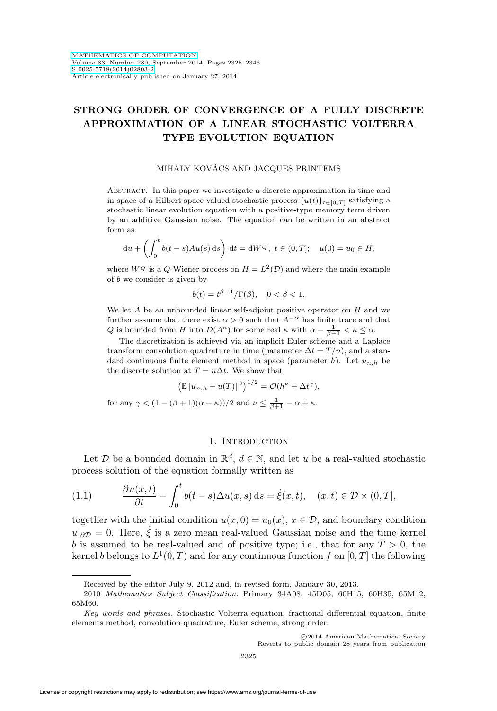# **STRONG ORDER OF CONVERGENCE OF A FULLY DISCRETE APPROXIMATION OF A LINEAR STOCHASTIC VOLTERRA TYPE EVOLUTION EQUATION**

#### MIHÁLY KOVÁCS AND JACQUES PRINTEMS

Abstract. In this paper we investigate a discrete approximation in time and in space of a Hilbert space valued stochastic process  $\{u(t)\}_{t\in[0,T]}$  satisfying a stochastic linear evolution equation with a positive-type memory term driven by an additive Gaussian noise. The equation can be written in an abstract form as

$$
du + \left(\int_0^t b(t-s)Au(s) ds\right) dt = dW^Q, t \in (0,T]; \quad u(0) = u_0 \in H,
$$

where  $W^Q$  is a Q-Wiener process on  $H = L^2(\mathcal{D})$  and where the main example of b we consider is given by

$$
b(t) = t^{\beta - 1} / \Gamma(\beta), \quad 0 < \beta < 1.
$$

We let  $A$  be an unbounded linear self-adjoint positive operator on  $H$  and we further assume that there exist  $\alpha>0$  such that  $A^{-\alpha}$  has finite trace and that Q is bounded from H into  $D(A^{\kappa})$  for some real  $\kappa$  with  $\alpha - \frac{1}{\beta+1} < \kappa \leq \alpha$ .

The discretization is achieved via an implicit Euler scheme and a Laplace transform convolution quadrature in time (parameter  $\Delta t = T/n$ ), and a standard continuous finite element method in space (parameter  $h$ ). Let  $u_{n,h}$  be the discrete solution at  $T = n\Delta t$ . We show that

$$
\left(\mathbb{E}\|u_{n,h}-u(T)\|^2\right)^{1/2}=\mathcal{O}(h^{\nu}+\Delta t^{\gamma}),
$$

for any  $\gamma < (1 - (\beta + 1)(\alpha - \kappa))/2$  and  $\nu \leq \frac{1}{\beta + 1} - \alpha + \kappa$ .

# 1. INTRODUCTION

Let  $\mathcal D$  be a bounded domain in  $\mathbb R^d$ ,  $d \in \mathbb N$ , and let u be a real-valued stochastic process solution of the equation formally written as

<span id="page-0-0"></span>(1.1) 
$$
\frac{\partial u(x,t)}{\partial t} - \int_0^t b(t-s) \Delta u(x,s) ds = \dot{\xi}(x,t), \quad (x,t) \in \mathcal{D} \times (0,T],
$$

together with the initial condition  $u(x, 0) = u_0(x), x \in \mathcal{D}$ , and boundary condition  $u|_{\partial \mathcal{D}} = 0$ . Here,  $\dot{\xi}$  is a zero mean real-valued Gaussian noise and the time kernel b is assumed to be real-valued and of positive type; i.e., that for any  $T > 0$ , the kernel b belongs to  $L^1(0,T)$  and for any continuous function f on [0, T] the following

Received by the editor July 9, 2012 and, in revised form, January 30, 2013.

<sup>2010</sup> Mathematics Subject Classification. Primary 34A08, 45D05, 60H15, 60H35, 65M12, 65M60.

Key words and phrases. Stochastic Volterra equation, fractional differential equation, finite elements method, convolution quadrature, Euler scheme, strong order.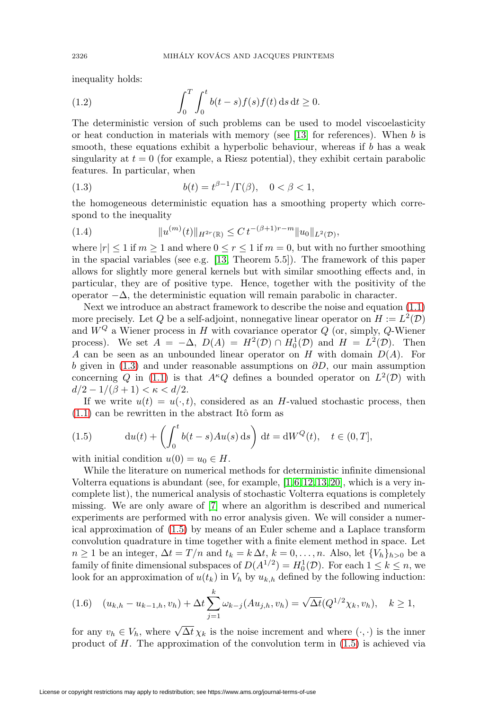inequality holds:

<span id="page-1-2"></span>(1.2) 
$$
\int_0^T \int_0^t b(t-s) f(s) f(t) \, ds \, dt \ge 0.
$$

The deterministic version of such problems can be used to model viscoelasticity or heat conduction in materials with memory (see  $[13]$  for references). When b is smooth, these equations exhibit a hyperbolic behaviour, whereas if  $b$  has a weak singularity at  $t = 0$  (for example, a Riesz potential), they exhibit certain parabolic features. In particular, when

<span id="page-1-0"></span>(1.3) 
$$
b(t) = t^{\beta - 1} / \Gamma(\beta), \quad 0 < \beta < 1,
$$

the homogeneous deterministic equation has a smoothing property which correspond to the inequality

<span id="page-1-4"></span>(1.4) 
$$
||u^{(m)}(t)||_{H^{2r}(\mathbb{R})} \leq C t^{-(\beta+1)r-m} ||u_0||_{L^2(\mathcal{D})},
$$

where  $|r| < 1$  if  $m > 1$  and where  $0 \le r \le 1$  if  $m = 0$ , but with no further smoothing in the spacial variables (see e.g. [\[13,](#page-20-0) Theorem 5.5]). The framework of this paper allows for slightly more general kernels but with similar smoothing effects and, in particular, they are of positive type. Hence, together with the positivity of the operator  $-\Delta$ , the deterministic equation will remain parabolic in character.

Next we introduce an abstract framework to describe the noise and equation [\(1.1\)](#page-0-0) more precisely. Let Q be a self-adjoint, nonnegative linear operator on  $H := L^2(\mathcal{D})$ and  $W^Q$  a Wiener process in H with covariance operator Q (or, simply, Q-Wiener process). We set  $A = -\Delta$ ,  $D(A) = H^2(\mathcal{D}) \cap H_0^1(\mathcal{D})$  and  $H = L^2(\mathcal{D})$ . Then A can be seen as an unbounded linear operator on H with domain  $D(A)$ . For b given in [\(1.3\)](#page-1-0) and under reasonable assumptions on  $\partial D$ , our main assumption concerning Q in [\(1.1\)](#page-0-0) is that  $A^kQ$  defines a bounded operator on  $L^2(\mathcal{D})$  with  $d/2 - 1/(\beta + 1) < \kappa < d/2$ .

If we write  $u(t) = u(\cdot, t)$ , considered as an H-valued stochastic process, then  $(1.1)$  can be rewritten in the abstract Itô form as

<span id="page-1-1"></span>(1.5) 
$$
\mathrm{d}u(t) + \left(\int_0^t b(t-s)Au(s)\,\mathrm{d}s\right)\,\mathrm{d}t = \mathrm{d}W^Q(t), \quad t \in (0,T],
$$

with initial condition  $u(0) = u_0 \in H$ .

While the literature on numerical methods for deterministic infinite dimensional Volterra equations is abundant (see, for example,  $[1, 6, 12, 13, 20]$  $[1, 6, 12, 13, 20]$  $[1, 6, 12, 13, 20]$  $[1, 6, 12, 13, 20]$  $[1, 6, 12, 13, 20]$ , which is a very incomplete list), the numerical analysis of stochastic Volterra equations is completely missing. We are only aware of [\[7\]](#page-20-4) where an algorithm is described and numerical experiments are performed with no error analysis given. We will consider a numerical approximation of [\(1.5\)](#page-1-1) by means of an Euler scheme and a Laplace transform convolution quadrature in time together with a finite element method in space. Let  $n \geq 1$  be an integer,  $\Delta t = T/n$  and  $t_k = k \Delta t$ ,  $k = 0, \ldots, n$ . Also, let  $\{V_h\}_{h>0}$  be a family of finite dimensional subspaces of  $D(A^{1/2}) = H_0^1(\mathcal{D})$ . For each  $1 \leq k \leq n$ , we look for an approximation of  $u(t_k)$  in  $V_h$  by  $u_{k,h}$  defined by the following induction:

<span id="page-1-3"></span>
$$
(1.6) \quad (u_{k,h} - u_{k-1,h}, v_h) + \Delta t \sum_{j=1}^k \omega_{k-j}(Au_{j,h}, v_h) = \sqrt{\Delta t} (Q^{1/2} \chi_k, v_h), \quad k \ge 1,
$$

for any  $v_h \in V_h$ , where  $\sqrt{\Delta t} \chi_k$  is the noise increment and where  $(\cdot, \cdot)$  is the inner product of  $H$ . The approximation of the convolution term in  $(1.5)$  is achieved via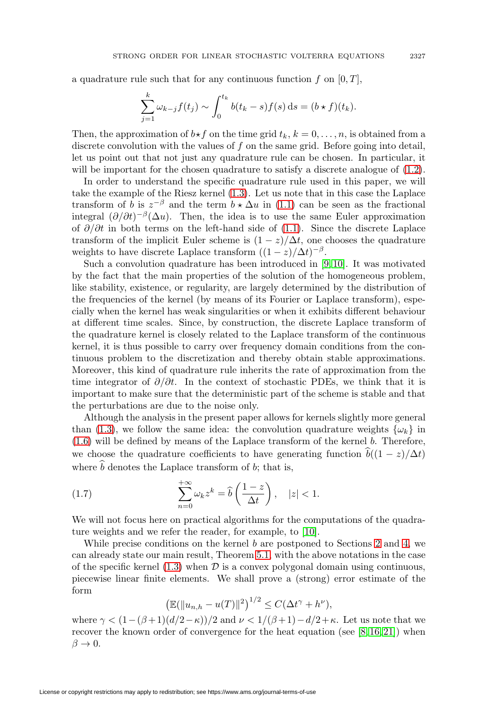a quadrature rule such that for any continuous function f on  $[0, T]$ ,

$$
\sum_{j=1}^k \omega_{k-j} f(t_j) \sim \int_0^{t_k} b(t_k - s) f(s) \, \mathrm{d} s = (b \star f)(t_k).
$$

Then, the approximation of  $b \star f$  on the time grid  $t_k$ ,  $k = 0, \ldots, n$ , is obtained from a discrete convolution with the values of f on the same grid. Before going into detail, let us point out that not just any quadrature rule can be chosen. In particular, it will be important for the chosen quadrature to satisfy a discrete analogue of  $(1.2)$ .

In order to understand the specific quadrature rule used in this paper, we will take the example of the Riesz kernel [\(1.3\)](#page-1-0). Let us note that in this case the Laplace transform of b is  $z^{-\beta}$  and the term  $b \star \Delta u$  in [\(1.1\)](#page-0-0) can be seen as the fractional integral  $(\partial/\partial t)^{-\beta}(\Delta u)$ . Then, the idea is to use the same Euler approximation of  $\partial/\partial t$  in both terms on the left-hand side of [\(1.1\)](#page-0-0). Since the discrete Laplace transform of the implicit Euler scheme is  $(1-z)/\Delta t$ , one chooses the quadrature weights to have discrete Laplace transform  $((1-z)/\Delta t)^{-\beta}$ .

Such a convolution quadrature has been introduced in [\[9,](#page-20-5) [10\]](#page-20-6). It was motivated by the fact that the main properties of the solution of the homogeneous problem, like stability, existence, or regularity, are largely determined by the distribution of the frequencies of the kernel (by means of its Fourier or Laplace transform), especially when the kernel has weak singularities or when it exhibits different behaviour at different time scales. Since, by construction, the discrete Laplace transform of the quadrature kernel is closely related to the Laplace transform of the continuous kernel, it is thus possible to carry over frequency domain conditions from the continuous problem to the discretization and thereby obtain stable approximations. Moreover, this kind of quadrature rule inherits the rate of approximation from the time integrator of  $\partial/\partial t$ . In the context of stochastic PDEs, we think that it is important to make sure that the deterministic part of the scheme is stable and that the perturbations are due to the noise only.

Although the analysis in the present paper allows for kernels slightly more general than [\(1.3\)](#page-1-0), we follow the same idea: the convolution quadrature weights  $\{\omega_k\}$  in [\(1.6\)](#page-1-3) will be defined by means of the Laplace transform of the kernel b. Therefore, we choose the quadrature coefficients to have generating function  $\hat{b}((1-z)/\Delta t)$ where  $\hat{b}$  denotes the Laplace transform of b; that is,

<span id="page-2-0"></span>(1.7) 
$$
\sum_{n=0}^{+\infty} \omega_k z^k = \hat{b} \left( \frac{1-z}{\Delta t} \right), \quad |z| < 1.
$$

We will not focus here on practical algorithms for the computations of the quadrature weights and we refer the reader, for example, to [\[10\]](#page-20-6).

While precise conditions on the kernel  $b$  are postponed to Sections [2](#page-3-0) and [4,](#page-13-0) we can already state our main result, Theorem [5.1,](#page-18-0) with the above notations in the case of the specific kernel [\(1.3\)](#page-1-0) when  $\mathcal D$  is a convex polygonal domain using continuous, piecewise linear finite elements. We shall prove a (strong) error estimate of the form

$$
\left(\mathbb{E}(\|u_{n,h}-u(T)\|^2)^{1/2}\leq C(\Delta t^{\gamma}+h^{\nu}),\right)
$$

where  $\gamma < (1-(\beta+1)(d/2-\kappa))/2$  and  $\nu < 1/(\beta+1)-d/2+\kappa$ . Let us note that we recover the known order of convergence for the heat equation (see  $[8, 16, 21]$  $[8, 16, 21]$  $[8, 16, 21]$ ) when  $\beta \to 0$ .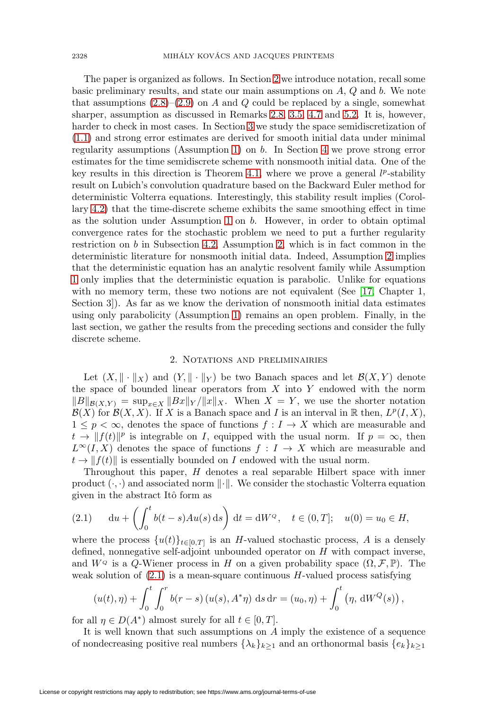The paper is organized as follows. In Section [2](#page-3-0) we introduce notation, recall some basic preliminary results, and state our main assumptions on A, Q and b. We note that assumptions  $(2.8)$ – $(2.9)$  on A and Q could be replaced by a single, somewhat sharper, assumption as discussed in Remarks [2.8,](#page-8-0) [3.5,](#page-12-0) [4.7](#page-18-1) and [5.2.](#page-19-0) It is, however, harder to check in most cases. In Section [3](#page-8-1) we study the space semidiscretization of [\(1.1\)](#page-0-0) and strong error estimates are derived for smooth initial data under minimal regularity assumptions (Assumption [1\)](#page-5-2) on b. In Section [4](#page-13-0) we prove strong error estimates for the time semidiscrete scheme with nonsmooth initial data. One of the key results in this direction is Theorem [4.1,](#page-14-0) where we prove a general  $l^p$ -stability result on Lubich's convolution quadrature based on the Backward Euler method for deterministic Volterra equations. Interestingly, this stability result implies (Corollary [4.2\)](#page-15-0) that the time-discrete scheme exhibits the same smoothing effect in time as the solution under Assumption [1](#page-5-2) on b. However, in order to obtain optimal convergence rates for the stochastic problem we need to put a further regularity restriction on  $b$  in Subsection [4.2,](#page-16-0) Assumption [2,](#page-16-1) which is in fact common in the deterministic literature for nonsmooth initial data. Indeed, Assumption [2](#page-16-1) implies that the deterministic equation has an analytic resolvent family while Assumption [1](#page-5-2) only implies that the deterministic equation is parabolic. Unlike for equations with no memory term, these two notions are not equivalent (See [\[17,](#page-21-2) Chapter 1, Section 3]). As far as we know the derivation of nonsmooth initial data estimates using only parabolicity (Assumption [1\)](#page-5-2) remains an open problem. Finally, in the last section, we gather the results from the preceding sections and consider the fully discrete scheme.

#### 2. Notations and preliminairies

<span id="page-3-0"></span>Let  $(X, \|\cdot\|_X)$  and  $(Y, \|\cdot\|_Y)$  be two Banach spaces and let  $\mathcal{B}(X, Y)$  denote the space of bounded linear operators from  $X$  into  $Y$  endowed with the norm  $||B||_{\mathcal{B}(X,Y)} = \sup_{x \in X} ||Bx||_Y / ||x||_X$ . When  $X = Y$ , we use the shorter notation  $\mathcal{B}(X)$  for  $\mathcal{B}(X, X)$ . If X is a Banach space and I is an interval in R then,  $L^p(I, X)$ ,  $1 \leq p < \infty$ , denotes the space of functions  $f: I \to X$  which are measurable and  $t \to ||f(t)||^p$  is integrable on I, equipped with the usual norm. If  $p = \infty$ , then  $L^{\infty}(I,X)$  denotes the space of functions  $f: I \to X$  which are measurable and  $t \to ||f(t)||$  is essentially bounded on I endowed with the usual norm.

Throughout this paper, H denotes a real separable Hilbert space with inner product  $(\cdot, \cdot)$  and associated norm  $\|\cdot\|$ . We consider the stochastic Volterra equation given in the abstract Itô form as

<span id="page-3-1"></span>(2.1) 
$$
du + \left(\int_0^t b(t-s)Au(s) ds\right) dt = dW^{\circ}, \quad t \in (0, T]; \quad u(0) = u_0 \in H,
$$

where the process  $\{u(t)\}_{t\in[0,T]}$  is an H-valued stochastic process, A is a densely defined, nonnegative self-adjoint unbounded operator on H with compact inverse, and  $W^{\varphi}$  is a Q-Wiener process in H on a given probability space  $(\Omega, \mathcal{F}, \mathbb{P})$ . The weak solution of  $(2.1)$  is a mean-square continuous H-valued process satisfying

$$
(u(t), \eta) + \int_0^t \int_0^r b(r - s) (u(s), A^*\eta) ds dr = (u_0, \eta) + \int_0^t (\eta, dW^Q(s)),
$$

for all  $\eta \in D(A^*)$  almost surely for all  $t \in [0, T]$ .

It is well known that such assumptions on A imply the existence of a sequence of nondecreasing positive real numbers  $\{\lambda_k\}_{k>1}$  and an orthonormal basis  $\{e_k\}_{k>1}$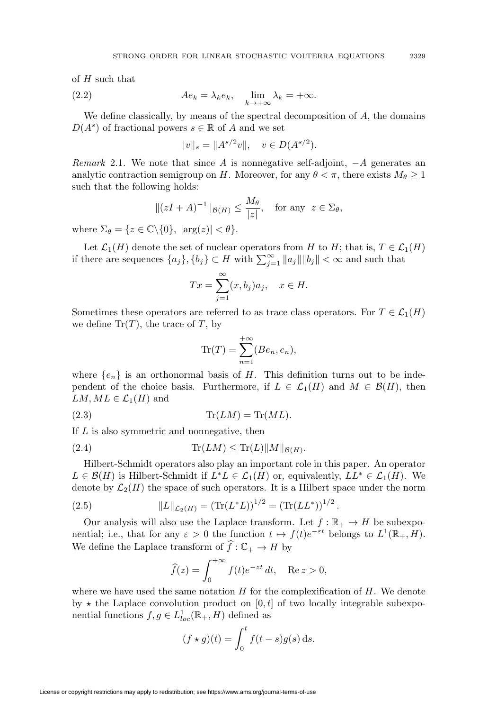of  $H$  such that

<span id="page-4-0"></span>(2.2) 
$$
Ae_k = \lambda_k e_k, \quad \lim_{k \to +\infty} \lambda_k = +\infty.
$$

We define classically, by means of the spectral decomposition of  $A$ , the domains  $D(A^s)$  of fractional powers  $s \in \mathbb{R}$  of A and we set

$$
||v||_s = ||A^{s/2}v||, \quad v \in D(A^{s/2}).
$$

Remark 2.1. We note that since A is nonnegative self-adjoint,  $-A$  generates an analytic contraction semigroup on H. Moreover, for any  $\theta < \pi$ , there exists  $M_{\theta} \geq 1$ such that the following holds:

$$
\|(zI + A)^{-1}\|_{\mathcal{B}(H)} \le \frac{M_{\theta}}{|z|}, \quad \text{for any } z \in \Sigma_{\theta},
$$

where  $\Sigma_{\theta} = \{z \in \mathbb{C} \backslash \{0\}, |\arg(z)| < \theta\}.$ 

Let  $\mathcal{L}_1(H)$  denote the set of nuclear operators from H to H; that is,  $T \in \mathcal{L}_1(H)$ if there are sequences  $\{a_j\}$ ,  $\{b_j\} \subset H$  with  $\sum_{j=1}^{\infty} ||a_j|| ||b_j|| < \infty$  and such that

$$
Tx = \sum_{j=1}^{\infty} (x, b_j)a_j, \quad x \in H.
$$

Sometimes these operators are referred to as trace class operators. For  $T \in \mathcal{L}_1(H)$ we define  $\text{Tr}(T)$ , the trace of T, by

$$
\text{Tr}(T) = \sum_{n=1}^{+\infty} (Be_n, e_n),
$$

where  $\{e_n\}$  is an orthonormal basis of H. This definition turns out to be independent of the choice basis. Furthermore, if  $L \in \mathcal{L}_1(H)$  and  $M \in \mathcal{B}(H)$ , then  $LM, ML \in \mathcal{L}_1(H)$  and

$$
Tr(LM) = Tr(ML).
$$

If L is also symmetric and nonnegative, then

<span id="page-4-1"></span>
$$
(2.4) \tTr(LM) \leq Tr(L) ||M||_{\mathcal{B}(H)}.
$$

Hilbert-Schmidt operators also play an important role in this paper. An operator  $L \in \mathcal{B}(H)$  is Hilbert-Schmidt if  $L^*L \in \mathcal{L}_1(H)$  or, equivalently,  $LL^* \in \mathcal{L}_1(H)$ . We denote by  $\mathcal{L}_2(H)$  the space of such operators. It is a Hilbert space under the norm

(2.5) 
$$
||L||_{\mathcal{L}_2(H)} = (\text{Tr}(L^*L))^{1/2} = (\text{Tr}(LL^*))^{1/2}.
$$

Our analysis will also use the Laplace transform. Let  $f : \mathbb{R}_+ \to H$  be subexponential; i.e., that for any  $\varepsilon > 0$  the function  $t \mapsto f(t)e^{-\varepsilon t}$  belongs to  $L^1(\mathbb{R}_+, H)$ . We define the Laplace transform of  $\hat{f}: \mathbb{C}_+ \to H$  by

$$
\widehat{f}(z) = \int_0^{+\infty} f(t)e^{-zt} dt, \quad \text{Re } z > 0,
$$

where we have used the same notation  $H$  for the complexification of  $H$ . We denote by  $\star$  the Laplace convolution product on [0, t] of two locally integrable subexponential functions  $f, g \in L^1_{loc}(\mathbb{R}_+, H)$  defined as

$$
(f \star g)(t) = \int_0^t f(t - s)g(s) \,ds.
$$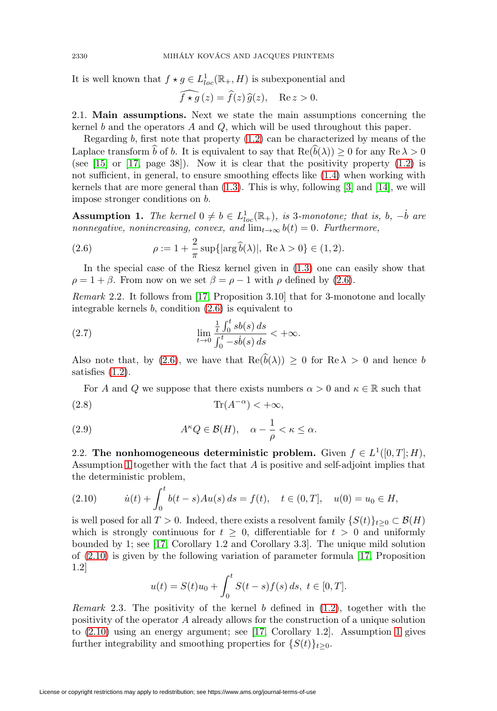It is well known that  $f \star g \in L^1_{loc}(\mathbb{R}_+, H)$  is subexponential and

$$
\widehat{f \star g}(z) = \widehat{f}(z)\,\widehat{g}(z), \quad \text{Re}\, z > 0.
$$

2.1. **Main assumptions.** Next we state the main assumptions concerning the kernel  $b$  and the operators  $A$  and  $Q$ , which will be used throughout this paper.

Regarding  $b$ , first note that property  $(1.2)$  can be characterized by means of the Laplace transform b of b. It is equivalent to say that  $\text{Re}(\tilde{b}(\lambda)) \geq 0$  for any  $\text{Re} \lambda > 0$ (see  $[15]$  or  $[17, page 38]$  $[17, page 38]$ ). Now it is clear that the positivity property  $(1.2)$  is not sufficient, in general, to ensure smoothing effects like [\(1.4\)](#page-1-4) when working with kernels that are more general than  $(1.3)$ . This is why, following [\[3\]](#page-20-10) and [\[14\]](#page-20-11), we will impose stronger conditions on b.

<span id="page-5-2"></span>**Assumption 1.** The kernel  $0 \neq b \in L^1_{loc}(\mathbb{R}_+),$  is 3-monotone; that is, b,  $-\dot{b}$  are nonnegative, nonincreasing, convex, and  $\lim_{t\to\infty} b(t)=0$ . Furthermore,

<span id="page-5-3"></span>(2.6) 
$$
\rho := 1 + \frac{2}{\pi} \sup \{ |\arg \hat{b}(\lambda)|, \text{ Re } \lambda > 0 \} \in (1, 2).
$$

In the special case of the Riesz kernel given in [\(1.3\)](#page-1-0) one can easily show that  $\rho = 1 + \beta$ . From now on we set  $\beta = \rho - 1$  with  $\rho$  defined by [\(2.6\)](#page-5-3).

Remark 2.2. It follows from [\[17,](#page-21-2) Proposition 3.10] that for 3-monotone and locally integrable kernels  $b$ , condition  $(2.6)$  is equivalent to

(2.7) 
$$
\lim_{t \to 0} \frac{\frac{1}{t} \int_0^t sb(s) \, ds}{\int_0^t -sb(s) \, ds} < +\infty.
$$

Also note that, by [\(2.6\)](#page-5-3), we have that  $\text{Re}(\widehat{b}(\lambda)) \geq 0$  for  $\text{Re } \lambda > 0$  and hence b satisfies [\(1.2\)](#page-1-2).

<span id="page-5-0"></span>For A and Q we suppose that there exists numbers  $\alpha > 0$  and  $\kappa \in \mathbb{R}$  such that (2.8)  $\text{Tr}(A^{-\alpha}) < +\infty$ ,

<span id="page-5-1"></span>(2.9) 
$$
A^{\kappa}Q \in \mathcal{B}(H), \quad \alpha - \frac{1}{\rho} < \kappa \le \alpha.
$$

2.2. **The nonhomogeneous deterministic problem.** Given  $f \in L^1([0,T];H)$ , Assumption [1](#page-5-2) together with the fact that A is positive and self-adjoint implies that the deterministic problem,

<span id="page-5-4"></span>(2.10) 
$$
\dot{u}(t) + \int_0^t b(t-s)Au(s) ds = f(t), \quad t \in (0,T], \quad u(0) = u_0 \in H,
$$

is well posed for all  $T > 0$ . Indeed, there exists a resolvent family  $\{S(t)\}_{t>0} \subset \mathcal{B}(H)$ which is strongly continuous for  $t \geq 0$ , differentiable for  $t > 0$  and uniformly bounded by 1; see [\[17,](#page-21-2) Corollary 1.2 and Corollary 3.3]. The unique mild solution of [\(2.10\)](#page-5-4) is given by the following variation of parameter formula [\[17,](#page-21-2) Proposition 1.2]

$$
u(t) = S(t)u_0 + \int_0^t S(t-s)f(s) ds, \ t \in [0, T].
$$

*Remark* 2.3. The positivity of the kernel b defined in  $(1.2)$ , together with the positivity of the operator A already allows for the construction of a unique solution to [\(2.10\)](#page-5-4) using an energy argument; see [\[17,](#page-21-2) Corollary 1.2]. Assumption [1](#page-5-2) gives further integrability and smoothing properties for  $\{S(t)\}_{t\geq0}$ .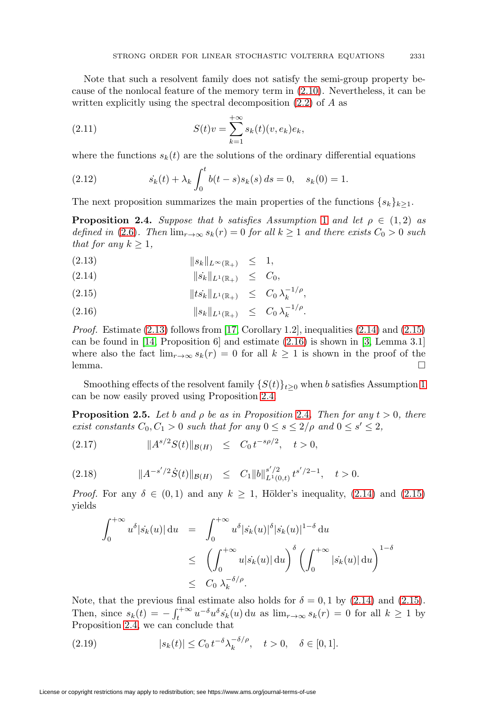Note that such a resolvent family does not satisfy the semi-group property because of the nonlocal feature of the memory term in [\(2.10\)](#page-5-4). Nevertheless, it can be written explicitly using the spectral decomposition [\(2.2\)](#page-4-0) of A as

(2.11) 
$$
S(t)v = \sum_{k=1}^{+\infty} s_k(t)(v, e_k)e_k,
$$

where the functions  $s_k(t)$  are the solutions of the ordinary differential equations

<span id="page-6-4"></span>(2.12) 
$$
s_k(t) + \lambda_k \int_0^t b(t-s)s_k(s) ds = 0, \quad s_k(0) = 1.
$$

The next proposition summarizes the main properties of the functions  $\{s_k\}_{k>1}$ .

<span id="page-6-1"></span>**Proposition 2.4.** Suppose that b satisfies Assumption [1](#page-5-2) and let  $\rho \in (1,2)$  as defined in [\(2.6\)](#page-5-3). Then  $\lim_{r\to\infty} s_k(r)=0$  for all  $k\geq 1$  and there exists  $C_0 > 0$  such that for any  $k \geq 1$ ,

<span id="page-6-0"></span>
$$
(2.13) \t\t\t\t ||s_k||_{L^{\infty}(\mathbb{R}_+)} \leq 1,
$$

$$
(2.14) \t\t\t ||\dot{s_k}||_{L^1(\mathbb{R}_+)} \leq C_0,
$$

- (2.15)  $||ts_k||_{L^1(\mathbb{R}_+)} \leq C_0 \lambda_k^{-1/\rho},$
- (2.16)  $||s_k||_{L^1(\mathbb{R}_+)} \leq C_0 \lambda_k^{-1/\rho}.$

*Proof.* Estimate  $(2.13)$  follows from [\[17,](#page-21-2) Corollary 1.2], inequalities  $(2.14)$  and  $(2.15)$ can be found in [\[14,](#page-20-11) Proposition 6] and estimate  $(2.16)$  is shown in [\[3,](#page-20-10) Lemma 3.1] where also the fact  $\lim_{r\to\infty} s_k(r) = 0$  for all  $k \ge 1$  is shown in the proof of the lemma. lemma.  $\Box$ 

Smoothing effects of the resolvent family  $\{S(t)\}_{t\geq0}$  when b satisfies Assumption [1](#page-5-2) can be now easily proved using Proposition [2.4.](#page-6-1)

<span id="page-6-5"></span>**Proposition 2.5.** Let b and  $\rho$  be as in Proposition [2.4](#page-6-1). Then for any  $t > 0$ , there exist constants  $C_0, C_1 > 0$  such that for any  $0 \le s \le 2/\rho$  and  $0 \le s' \le 2$ ,

<span id="page-6-3"></span>(2.17)  $||A^{s/2}S(t)||_{\mathcal{B}(H)} \leq C_0 t^{-s\rho/2}, \quad t > 0,$ 

$$
(2.18) \t\t ||A^{-s'/2}\dot{S}(t)||_{\mathcal{B}(H)} \leq C_1||b||_{L^1(0,t)}^{s'/2}t^{s'/2-1}, \quad t > 0.
$$

*Proof.* For any  $\delta \in (0,1)$  and any  $k \geq 1$ , Hölder's inequality, [\(2.14\)](#page-6-0) and [\(2.15\)](#page-6-0) yields

$$
\int_0^{+\infty} u^{\delta} |\dot{s}_k(u)| \, \mathrm{d}u = \int_0^{+\infty} u^{\delta} |\dot{s}_k(u)|^{\delta} |\dot{s}_k(u)|^{1-\delta} \, \mathrm{d}u
$$
  
\n
$$
\leq \left( \int_0^{+\infty} u |\dot{s}_k(u)| \, \mathrm{d}u \right)^{\delta} \left( \int_0^{+\infty} |\dot{s}_k(u)| \, \mathrm{d}u \right)^{1-\delta}
$$
  
\n
$$
\leq C_0 \, \lambda_k^{-\delta/\rho}.
$$

Note, that the previous final estimate also holds for  $\delta = 0, 1$  by [\(2.14\)](#page-6-0) and [\(2.15\)](#page-6-0). Then, since  $s_k(t) = -\int_t^{+\infty} u^{-\delta} u^{\delta} s_k(u) \, \mathrm{d}u$  as  $\lim_{r \to \infty} s_k(r) = 0$  for all  $k \ge 1$  by Proposition [2.4,](#page-6-1) we can conclude that

<span id="page-6-2"></span>(2.19) 
$$
|s_k(t)| \leq C_0 t^{-\delta} \lambda_k^{-\delta/\rho}, \quad t > 0, \quad \delta \in [0, 1].
$$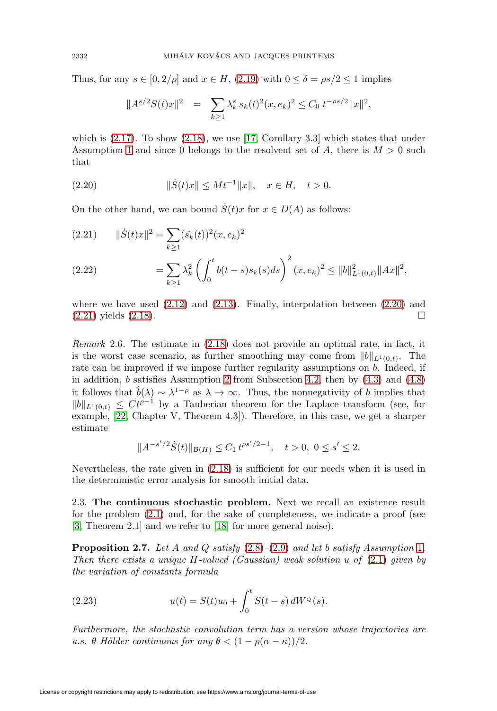Thus, for any  $s \in [0, 2/\rho]$  and  $x \in H$ , [\(2.19\)](#page-6-2) with  $0 \le \delta = \rho s/2 \le 1$  implies

$$
||A^{s/2}S(t)x||^2 = \sum_{k\geq 1} \lambda_k^s s_k(t)^2(x, e_k)^2 \leq C_0 t^{-\rho s/2} ||x||^2,
$$

which is  $(2.17)$ . To show  $(2.18)$ , we use [\[17,](#page-21-2) Corollary 3.3] which states that under Assumption [1](#page-5-2) and since 0 belongs to the resolvent set of A, there is  $M > 0$  such that

<span id="page-7-0"></span>(2.20) 
$$
\|\dot{S}(t)x\| \le Mt^{-1} \|x\|, \quad x \in H, \quad t > 0.
$$

On the other hand, we can bound  $\dot{S}(t)x$  for  $x \in D(A)$  as follows:

<span id="page-7-1"></span>(2.21) 
$$
\|\dot{S}(t)x\|^2 = \sum_{k\geq 1} (\dot{s}_k(t))^2 (x, e_k)^2
$$

$$
= \sum_{k\geq 1} \lambda_k^2 \left( \int_0^t b(t-s)s_k(s)ds \right)^2 (x, e_k)^2 \leq \|b\|_{L^1(0,t)}^2 \|Ax\|^2,
$$

where we have used  $(2.12)$  and  $(2.13)$ . Finally, interpolation between  $(2.20)$  and  $(2.21)$  yields  $(2.18)$ .

Remark 2.6. The estimate in [\(2.18\)](#page-6-3) does not provide an optimal rate, in fact, it is the worst case scenario, as further smoothing may come from  $||b||_{L^1(0,t)}$ . The rate can be improved if we impose further regularity assumptions on  $b$ . Indeed, if in addition, b satisfies Assumption [2](#page-16-1) from Subsection [4.2,](#page-16-0) then by [\(4.3\)](#page-13-1) and [\(4.8\)](#page-16-2) it follows that  $\hat{b}(\lambda) \sim \lambda^{1-\rho}$  as  $\lambda \to \infty$ . Thus, the nonnegativity of b implies that  $||b||_{L^1(0,t)} \leq Ct^{\rho-1}$  by a Tauberian theorem for the Laplace transform (see, for example, [\[22,](#page-21-3) Chapter V, Theorem 4.3]). Therefore, in this case, we get a sharper estimate

$$
||A^{-s'/2}\dot{S}(t)||_{\mathcal{B}(H)} \leq C_1 t^{\rho s'/2 - 1}, \quad t > 0, \ 0 \leq s' \leq 2.
$$

Nevertheless, the rate given in [\(2.18\)](#page-6-3) is sufficient for our needs when it is used in the deterministic error analysis for smooth initial data.

2.3. **The continuous stochastic problem.** Next we recall an existence result for the problem [\(2.1\)](#page-3-1) and, for the sake of completeness, we indicate a proof (see [\[3,](#page-20-10) Theorem 2.1] and we refer to [\[18\]](#page-21-4) for more general noise).

**Proposition 2.7.** Let A and Q satisfy  $(2.8)$ – $(2.9)$  and let b satisfy Assumption [1](#page-5-2). Then there exists a unique  $H$ -valued (Gaussian) weak solution u of  $(2.1)$  given by the variation of constants formula

<span id="page-7-2"></span>(2.23) 
$$
u(t) = S(t)u_0 + \int_0^t S(t-s) dW^{\mathcal{Q}}(s).
$$

Furthermore, the stochastic convolution term has a version whose trajectories are a.s.  $\theta$ -Hölder continuous for any  $\theta < (1 - \rho(\alpha - \kappa))/2$ .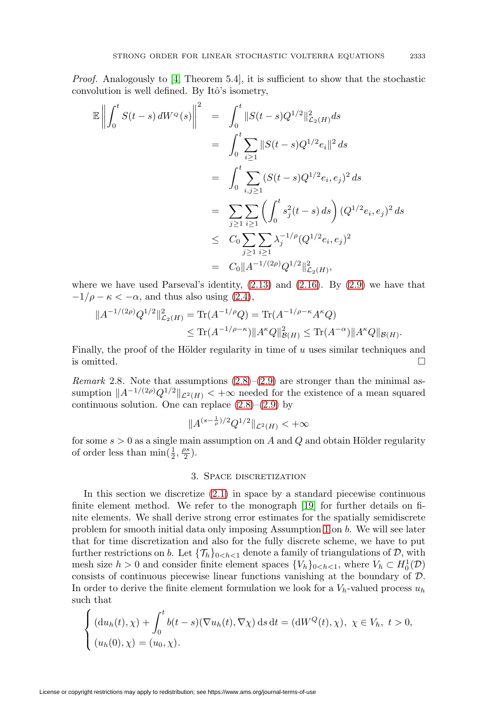Proof. Analogously to [\[4,](#page-20-12) Theorem 5.4], it is sufficient to show that the stochastic convolution is well defined. By Itô's isometry,

$$
\mathbb{E}\left\|\int_{0}^{t} S(t-s) dW^{q}(s)\right\|^{2} = \int_{0}^{t} \|S(t-s)Q^{1/2}\|_{\mathcal{L}_{2}(H)}^{2} ds
$$
  
\n
$$
= \int_{0}^{t} \sum_{i\geq 1} \|S(t-s)Q^{1/2}e_{i}\|^{2} ds
$$
  
\n
$$
= \int_{0}^{t} \sum_{i,j\geq 1} (S(t-s)Q^{1/2}e_{i}, e_{j})^{2} ds
$$
  
\n
$$
= \sum_{j\geq 1} \sum_{i\geq 1} \left(\int_{0}^{t} s_{j}^{2}(t-s) ds\right) (Q^{1/2}e_{i}, e_{j})^{2} ds
$$
  
\n
$$
\leq C_{0} \sum_{j\geq 1} \sum_{i\geq 1} \lambda_{j}^{-1/2} (Q^{1/2}e_{i}, e_{j})^{2}
$$
  
\n
$$
= C_{0} \|A^{-1/(2\rho)} Q^{1/2} \|_{\mathcal{L}_{2}(H)}^{2},
$$

where we have used Parseval's identity,  $(2.13)$  and  $(2.16)$ . By  $(2.9)$  we have that  $-1/\rho - \kappa < -\alpha$ , and thus also using [\(2.4\)](#page-4-1),

$$
||A^{-1/(2\rho)}Q^{1/2}||_{\mathcal{L}_2(H)}^2 = \text{Tr}(A^{-1/\rho}Q) = \text{Tr}(A^{-1/\rho - \kappa}A^{\kappa}Q)
$$
  
 
$$
\leq \text{Tr}(A^{-1/\rho - \kappa})||A^{\kappa}Q||_{\mathcal{B}(H)}^2 \leq \text{Tr}(A^{-\alpha})||A^{\kappa}Q||_{\mathcal{B}(H)}.
$$

Finally, the proof of the Hölder regularity in time of  $u$  uses similar techniques and is omitted.  $\Box$ 

<span id="page-8-0"></span>Remark 2.8. Note that assumptions  $(2.8)$ – $(2.9)$  are stronger than the minimal assumption  $||A^{-1/(2\rho)}Q^{1/2}||_{\mathcal{L}^2(H)} < +\infty$  needed for the existence of a mean squared continuous solution. One can replace  $(2.8)$ – $(2.9)$  by

$$
||A^{(s-\frac{1}{\rho})/2}Q^{1/2}||_{\mathcal{L}^2(H)} < +\infty
$$

<span id="page-8-1"></span>for some  $s > 0$  as a single main assumption on A and Q and obtain Hölder regularity of order less than  $\min(\frac{1}{2}, \frac{\rho s}{2})$ .

### 3. Space discretization

In this section we discretize [\(2.1\)](#page-3-1) in space by a standard piecewise continuous finite element method. We refer to the monograph [\[19\]](#page-21-5) for further details on finite elements. We shall derive strong error estimates for the spatially semidiscrete problem for smooth initial data only imposing Assumption [1](#page-5-2) on b. We will see later that for time discretization and also for the fully discrete scheme, we have to put further restrictions on b. Let  $\{\mathcal{T}_h\}_{0 < h < 1}$  denote a family of triangulations of D, with mesh size  $h > 0$  and consider finite element spaces  $\{V_h\}_{0 \leq h \leq 1}$ , where  $V_h \subset H_0^1(\mathcal{D})$ consists of continuous piecewise linear functions vanishing at the boundary of D. In order to derive the finite element formulation we look for a  $V_h$ -valued process  $u_h$ such that

$$
\begin{cases} (du_h(t), \chi) + \int_0^t b(t-s)(\nabla u_h(t), \nabla \chi) ds dt = (dW^Q(t), \chi), \ \chi \in V_h, \ t > 0, \\ (u_h(0), \chi) = (u_0, \chi). \end{cases}
$$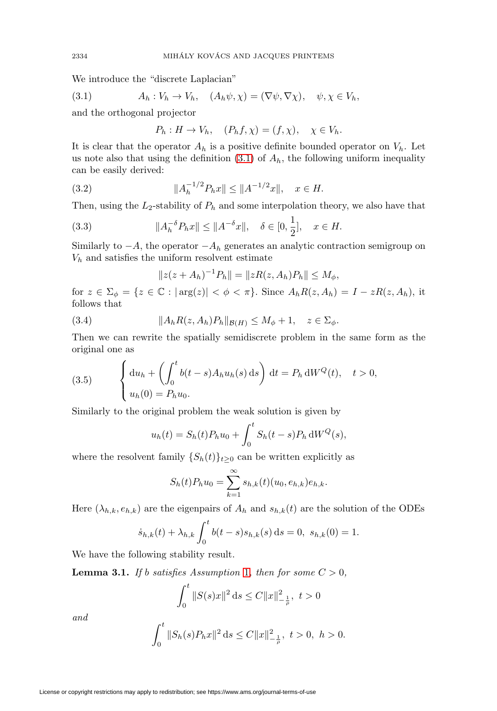We introduce the "discrete Laplacian"

<span id="page-9-0"></span>(3.1) 
$$
A_h: V_h \to V_h, \quad (A_h \psi, \chi) = (\nabla \psi, \nabla \chi), \quad \psi, \chi \in V_h,
$$

and the orthogonal projector

$$
P_h: H \to V_h, \quad (P_h f, \chi) = (f, \chi), \quad \chi \in V_h.
$$

It is clear that the operator  $A_h$  is a positive definite bounded operator on  $V_h$ . Let us note also that using the definition  $(3.1)$  of  $A<sub>h</sub>$ , the following uniform inequality can be easily derived:

(3.2) 
$$
||A_h^{-1/2} P_h x|| \le ||A^{-1/2} x||, \quad x \in H.
$$

Then, using the  $L_2$ -stability of  $P_h$  and some interpolation theory, we also have that

<span id="page-9-1"></span>(3.3) 
$$
||A_h^{-\delta} P_h x|| \le ||A^{-\delta} x||, \quad \delta \in [0, \frac{1}{2}], \quad x \in H.
$$

Similarly to  $-A$ , the operator  $-A_h$  generates an analytic contraction semigroup on  $V<sub>h</sub>$  and satisfies the uniform resolvent estimate

$$
||z(z + A_h)^{-1}P_h|| = ||zR(z, A_h)P_h|| \le M_\phi,
$$

for  $z \in \Sigma_{\phi} = \{z \in \mathbb{C} : |\arg(z)| < \phi < \pi\}$ . Since  $A_h R(z, A_h) = I - zR(z, A_h)$ , it follows that

<span id="page-9-3"></span>(3.4) 
$$
||A_h R(z, A_h) P_h||_{\mathcal{B}(H)} \leq M_\phi + 1, \quad z \in \Sigma_\phi.
$$

Then we can rewrite the spatially semidiscrete problem in the same form as the original one as

(3.5) 
$$
\begin{cases} \mathrm{d}u_h + \left( \int_0^t b(t-s) A_h u_h(s) \, \mathrm{d}s \right) \, \mathrm{d}t = P_h \, \mathrm{d}W^Q(t), \quad t > 0, \\ u_h(0) = P_h u_0. \end{cases}
$$

Similarly to the original problem the weak solution is given by

$$
u_h(t) = S_h(t)P_h u_0 + \int_0^t S_h(t-s)P_h \,dW^Q(s),
$$

where the resolvent family  $\{S_h(t)\}_{t\geq 0}$  can be written explicitly as

$$
S_h(t)P_h u_0 = \sum_{k=1}^{\infty} s_{h,k}(t) (u_0, e_{h,k})e_{h,k}.
$$

Here  $(\lambda_{h,k}, e_{h,k})$  are the eigenpairs of  $A_h$  and  $s_{h,k}(t)$  are the solution of the ODEs

$$
\dot{s}_{h,k}(t) + \lambda_{h,k} \int_0^t b(t-s) s_{h,k}(s) \, ds = 0, \ s_{h,k}(0) = 1.
$$

We have the following stability result.

<span id="page-9-2"></span>**Lemma 3.[1](#page-5-2).** If b satisfies Assumption 1, then for some  $C > 0$ ,

$$
\int_0^t \|S(s)x\|^2 \, \mathrm{d}s \le C \|x\|_{-\frac{1}{\rho}}^2, \ t > 0
$$

and

$$
\int_0^t \|S_h(s)P_hx\|^2 \, \mathrm{d} s \le C \|x\|_{-\frac{1}{\rho}}^2, \ t > 0, \ h > 0.
$$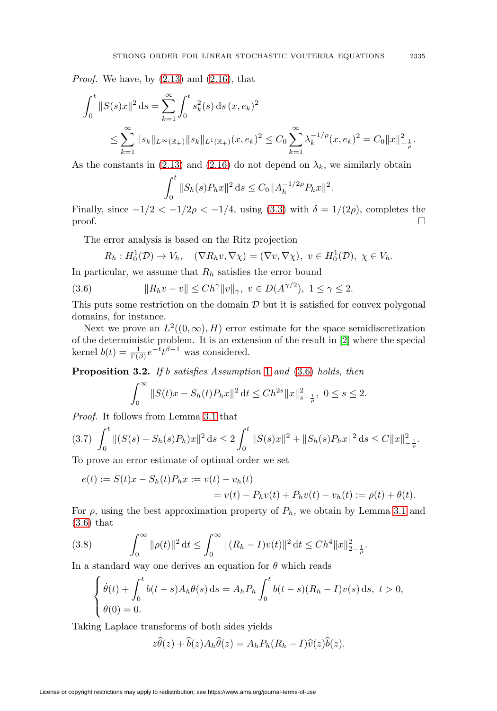*Proof.* We have, by  $(2.13)$  and  $(2.16)$ , that

$$
\int_0^t ||S(s)x||^2 ds = \sum_{k=1}^\infty \int_0^t s_k^2(s) ds (x, e_k)^2
$$
  

$$
\leq \sum_{k=1}^\infty ||s_k||_{L^\infty(\mathbb{R}_+)} ||s_k||_{L^1(\mathbb{R}_+)} (x, e_k)^2 \leq C_0 \sum_{k=1}^\infty \lambda_k^{-1/\rho} (x, e_k)^2 = C_0 ||x||_{-\frac{1}{\rho}}^2.
$$

As the constants in [\(2.13\)](#page-6-0) and [\(2.16\)](#page-6-0) do not depend on  $\lambda_k$ , we similarly obtain

$$
\int_0^t \|S_h(s)P_hx\|^2 ds \le C_0 \|A_h^{-1/2\rho}P_hx\|^2.
$$

Finally, since  $-1/2 < -1/2\rho < -1/4$ , using [\(3.3\)](#page-9-1) with  $\delta = 1/(2\rho)$ , completes the  $\Box$ 

The error analysis is based on the Ritz projection

$$
R_h: H_0^1(\mathcal{D}) \to V_h, \quad (\nabla R_h v, \nabla \chi) = (\nabla v, \nabla \chi), \ v \in H_0^1(\mathcal{D}), \ \chi \in V_h.
$$

In particular, we assume that  $R_h$  satisfies the error bound

<span id="page-10-0"></span>(3.6) 
$$
||R_h v - v|| \leq Ch^{\gamma} ||v||_{\gamma}, \ v \in D(A^{\gamma/2}), \ 1 \leq \gamma \leq 2.
$$

This puts some restriction on the domain  $D$  but it is satisfied for convex polygonal domains, for instance.

Next we prove an  $L^2((0,\infty),H)$  error estimate for the space semidiscretization of the deterministic problem. It is an extension of the result in [\[2\]](#page-20-13) where the special kernel  $b(t) = \frac{1}{\Gamma(\beta)} e^{-t} t^{\beta - 1}$  was considered.

<span id="page-10-3"></span>**Proposition 3.2.** If b satisfies Assumption [1](#page-5-2) and [\(3.6\)](#page-10-0) holds, then

$$
\int_0^\infty \|S(t)x - S_h(t)P_hx\|^2 dt \le Ch^{2s} \|x\|_{s-\frac{1}{\rho}}^2, \ 0 \le s \le 2.
$$

Proof. It follows from Lemma [3.1](#page-9-2) that

<span id="page-10-1"></span>
$$
(3.7) \int_0^t \|(S(s) - S_h(s)P_h)x\|^2 ds \le 2 \int_0^t \|S(s)x\|^2 + \|S_h(s)P_hx\|^2 ds \le C \|x\|_{-\frac{1}{\rho}}^2.
$$

To prove an error estimate of optimal order we set

$$
e(t) := S(t)x - S_h(t)P_hx := v(t) - v_h(t)
$$
  
=  $v(t) - P_hv(t) + P_hv(t) - v_h(t) := \rho(t) + \theta(t).$ 

For  $\rho$ , using the best approximation property of  $P_h$ , we obtain by Lemma [3.1](#page-9-2) and [\(3.6\)](#page-10-0) that

<span id="page-10-2"></span>(3.8) 
$$
\int_0^\infty \|\rho(t)\|^2 dt \le \int_0^\infty \|(R_h - I)v(t)\|^2 dt \le Ch^4 \|x\|_{2-\frac{1}{\rho}}^2.
$$

In a standard way one derives an equation for  $\theta$  which reads

$$
\begin{cases} \dot{\theta}(t) + \int_0^t b(t-s)A_h\theta(s) ds = A_h P_h \int_0^t b(t-s)(R_h - I)v(s) ds, \ t > 0, \\ \theta(0) = 0. \end{cases}
$$

Taking Laplace transforms of both sides yields

 $z\theta(z) + b(z)A_h\theta(z) = A_hP_h(R_h - I)\hat{v}(z)b(z).$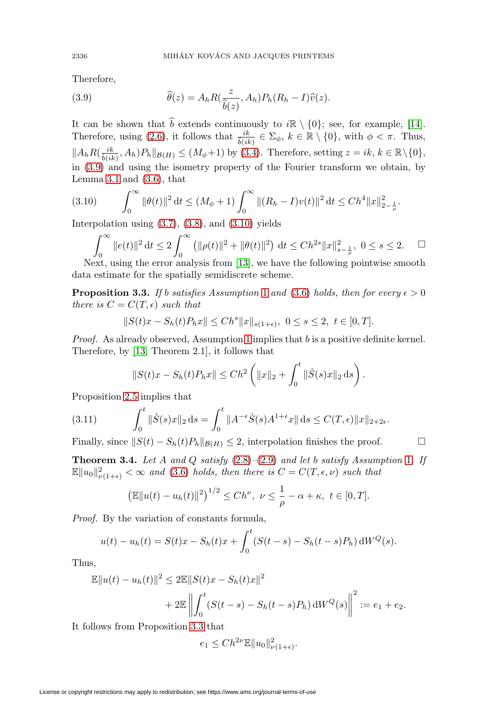Therefore,

<span id="page-11-0"></span>(3.9) 
$$
\widehat{\theta}(z) = A_h R(\frac{z}{\widehat{b}(z)}, A_h) P_h (R_h - I) \widehat{v}(z).
$$

It can be shown that  $\hat{b}$  extends continuously to  $i\mathbb{R} \setminus \{0\}$ ; see, for example, [\[14\]](#page-20-11). Therefore, using [\(2.6\)](#page-5-3), it follows that  $\frac{ik}{\hat{b}(ik)} \in \Sigma_{\phi}$ ,  $k \in \mathbb{R} \setminus \{0\}$ , with  $\phi < \pi$ . Thus,  $||A_h R(\frac{ik}{\hat{b}(ik)}, A_h)P_h||_{\mathcal{B}(H)} \leq (M_{\phi}+1)$  by [\(3.4\)](#page-9-3). Therefore, setting  $z = ik, k \in \mathbb{R} \setminus \{0\},$ in [\(3.9\)](#page-11-0) and using the isometry property of the Fourier transform we obtain, by Lemma [3.1](#page-9-2) and  $(3.6)$ , that

<span id="page-11-1"></span>
$$
(3.10) \qquad \int_0^\infty \|\theta(t)\|^2 \, \mathrm{d}t \le (M_\phi + 1) \int_0^\infty \|(R_h - I)v(t)\|^2 \, \mathrm{d}t \le Ch^4 \|x\|_{2 - \frac{1}{\rho}}^2.
$$

Interpolation using  $(3.7), (3.8),$  $(3.7), (3.8),$  $(3.7), (3.8),$  $(3.7), (3.8),$  and  $(3.10)$  yields

$$
\int_0^\infty \|e(t)\|^2 dt \le 2 \int_0^\infty \left( \|\rho(t)\|^2 + \|\theta(t)\|^2 \right) dt \le Ch^{2s} \|x\|_{s-\frac{1}{\rho}}^2, \ 0 \le s \le 2.
$$
  $\Box$   
Next, using the error analysis from [13], we have the following pointwise smooth

data estimate for the spatially semidiscrete scheme.

<span id="page-11-2"></span>**Proposition 3.3.** If b satisfies Assumption [1](#page-5-2) and [\(3.6\)](#page-10-0) holds, then for every  $\epsilon > 0$ there is  $C = C(T, \epsilon)$  such that

$$
||S(t)x - S_h(t)P_hx|| \le Ch^s ||x||_{s(1+\epsilon)}, \ 0 \le s \le 2, \ t \in [0,T].
$$

*Proof.* As already observed, Assumption [1](#page-5-2) implies that  $b$  is a positive definite kernel. Therefore, by [\[13,](#page-20-0) Theorem 2.1], it follows that

$$
||S(t)x - S_h(t)P_hx|| \le Ch^2 \left( ||x||_2 + \int_0^t ||\dot{S}(s)x||_2 ds \right).
$$

Proposition [2.5](#page-6-5) implies that

<span id="page-11-3"></span>(3.11) 
$$
\int_0^t \|\dot{S}(s)x\|_2 ds = \int_0^t \|A^{-\epsilon}\dot{S}(s)A^{1+\epsilon}x\| ds \le C(T,\epsilon) \|x\|_{2+2\epsilon}.
$$

Finally, since  $||S(t) - S_h(t)P_h||_{\mathcal{B}(H)} \leq 2$ , interpolation finishes the proof.  $\Box$ 

**Theorem 3.4.** Let A and Q satisfy  $(2.8)$ – $(2.9)$  and let b satisfy Assumption [1](#page-5-2). If  $\mathbb{E} \|u_0\|_{\nu(1+\epsilon)}^2 < \infty$  and [\(3.6\)](#page-10-0) holds, then there is  $C = C(T, \epsilon, \nu)$  such that

$$
\left(\mathbb{E}\|u(t)-u_h(t)\|^2\right)^{1/2} \le Ch^{\nu}, \ \nu \le \frac{1}{\rho}-\alpha+\kappa, \ t \in [0,T].
$$

Proof. By the variation of constants formula,

$$
u(t) - uh(t) = S(t)x - Sh(t)x + \int_0^t (S(t - s) - Sh(t - s)Ph) dWQ(s).
$$

Thus,

$$
\mathbb{E}||u(t) - u_h(t)||^2 \le 2\mathbb{E}||S(t)x - S_h(t)x||^2
$$
  
+ 
$$
2\mathbb{E}||\int_0^t (S(t-s) - S_h(t-s)P_h) dW^Q(s)||^2 := e_1 + e_2.
$$

It follows from Proposition [3.3](#page-11-2) that

$$
e_1 \leq Ch^{2\nu} \mathbb{E} \|u_0\|_{\nu(1+\epsilon)}^2.
$$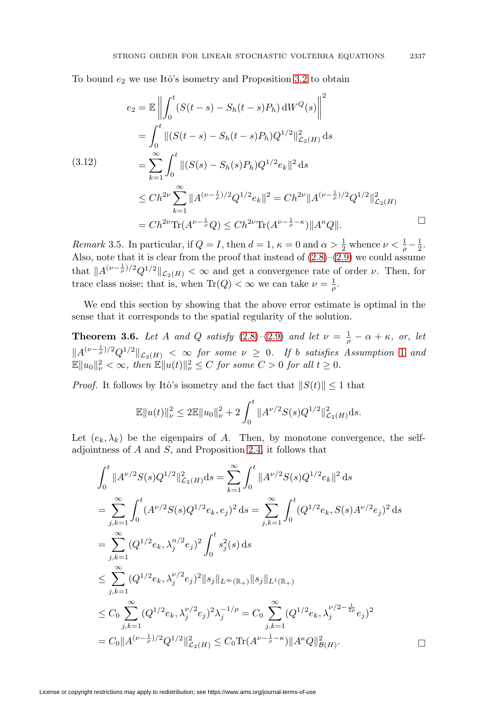To bound  $e_2$  we use Itô's isometry and Proposition [3.2](#page-10-3) to obtain

<span id="page-12-1"></span>
$$
e_2 = \mathbb{E} \left\| \int_0^t (S(t-s) - S_h(t-s)P_h) dW^Q(s) \right\|^2
$$
  
\n
$$
= \int_0^t \|(S(t-s) - S_h(t-s)P_h)Q^{1/2}\|_{\mathcal{L}_2(H)}^2 ds
$$
  
\n(3.12)  
\n
$$
= \sum_{k=1}^\infty \int_0^t \|(S(s) - S_h(s)P_h)Q^{1/2}e_k\|^2 ds
$$
  
\n
$$
\leq Ch^{2\nu} \sum_{k=1}^\infty \|A^{(\nu - \frac{1}{\rho})/2}Q^{1/2}e_k\|^2 = Ch^{2\nu} \|A^{(\nu - \frac{1}{\rho})/2}Q^{1/2}\|_{\mathcal{L}_2(H)}^2
$$
  
\n
$$
= Ch^{2\nu} \text{Tr}(A^{\nu - \frac{1}{\rho}}Q) \leq Ch^{2\nu} \text{Tr}(A^{\nu - \frac{1}{\rho} - \kappa}) \|A^\kappa Q\|.
$$

<span id="page-12-0"></span>Remark 3.5. In particular, if  $Q = I$ , then  $d = 1$ ,  $\kappa = 0$  and  $\alpha > \frac{1}{2}$  whence  $\nu < \frac{1}{\rho} - \frac{1}{2}$ . Also, note that it is clear from the proof that instead of  $(2.8)$ – $(2.9)$  we could assume that  $||A^{(\nu-\frac{1}{\rho})/2}Q^{1/2}||_{\mathcal{L}_2(H)} < \infty$  and get a convergence rate of order  $\nu$ . Then, for trace class noise; that is, when  $\text{Tr}(Q) < \infty$  we can take  $\nu = \frac{1}{\rho}$ .

We end this section by showing that the above error estimate is optimal in the sense that it corresponds to the spatial regularity of the solution.

**Theorem 3.6.** Let A and Q satisfy  $(2.8)$  – $(2.9)$  and let  $\nu = \frac{1}{\rho} - \alpha + \kappa$ , or, let  $||A^{(\nu-\frac{1}{\rho})/2}Q^{1/2}||_{\mathcal{L}_2(H)} \leq \infty$  $||A^{(\nu-\frac{1}{\rho})/2}Q^{1/2}||_{\mathcal{L}_2(H)} \leq \infty$  $||A^{(\nu-\frac{1}{\rho})/2}Q^{1/2}||_{\mathcal{L}_2(H)} \leq \infty$  for some  $\nu \geq 0$ . If b satisfies Assumption 1 and  $\mathbb{E} \|u_0\|_{\nu}^2 < \infty$ , then  $\mathbb{E} \|u(t)\|_{\nu}^2 \leq C$  for some  $C > 0$  for all  $t \geq 0$ .

*Proof.* It follows by Itô's isometry and the fact that  $||S(t)|| \le 1$  that

$$
\mathbb{E} \|u(t)\|_{\nu}^2 \le 2 \mathbb{E} \|u_0\|_{\nu}^2 + 2 \int_0^t \|A^{\nu/2} S(s) Q^{1/2}\|_{\mathcal{L}_2(H)}^2 ds.
$$

Let  $(e_k, \lambda_k)$  be the eigenpairs of A. Then, by monotone convergence, the selfadjointness of A and S, and Proposition [2.4,](#page-6-1) it follows that

$$
\int_{0}^{t} \|A^{\nu/2}S(s)Q^{1/2}\|_{\mathcal{L}_{2}(H)}^{2}ds = \sum_{k=1}^{\infty} \int_{0}^{t} \|A^{\nu/2}S(s)Q^{1/2}e_{k}\|^{2} ds
$$
\n
$$
= \sum_{j,k=1}^{\infty} \int_{0}^{t} (A^{\nu/2}S(s)Q^{1/2}e_{k}, e_{j})^{2} ds = \sum_{j,k=1}^{\infty} \int_{0}^{t} (Q^{1/2}e_{k}, S(s)A^{\nu/2}e_{j})^{2} ds
$$
\n
$$
= \sum_{j,k=1}^{\infty} (Q^{1/2}e_{k}, \lambda_{j}^{n/2}e_{j})^{2} \int_{0}^{t} s_{j}^{2}(s) ds
$$
\n
$$
\leq \sum_{j,k=1}^{\infty} (Q^{1/2}e_{k}, \lambda_{j}^{\nu/2}e_{j})^{2} \|s_{j}\|_{L^{\infty}(\mathbb{R}_{+})} \|s_{j}\|_{L^{1}(\mathbb{R}_{+})}
$$
\n
$$
\leq C_{0} \sum_{j,k=1}^{\infty} (Q^{1/2}e_{k}, \lambda_{j}^{\nu/2}e_{j})^{2} \lambda_{j}^{-1/\rho} = C_{0} \sum_{j,k=1}^{\infty} (Q^{1/2}e_{k}, \lambda_{j}^{\nu/2-\frac{1}{2\rho}}e_{j})^{2}
$$
\n
$$
= C_{0} \|A^{(\nu-\frac{1}{\rho})/2} Q^{1/2} \|_{\mathcal{L}_{2}(H)}^{2} \leq C_{0} \text{Tr}(A^{\nu-\frac{1}{\rho}-\kappa}) \|A^{\kappa}Q\|_{\mathcal{B}(H)}^{2}.
$$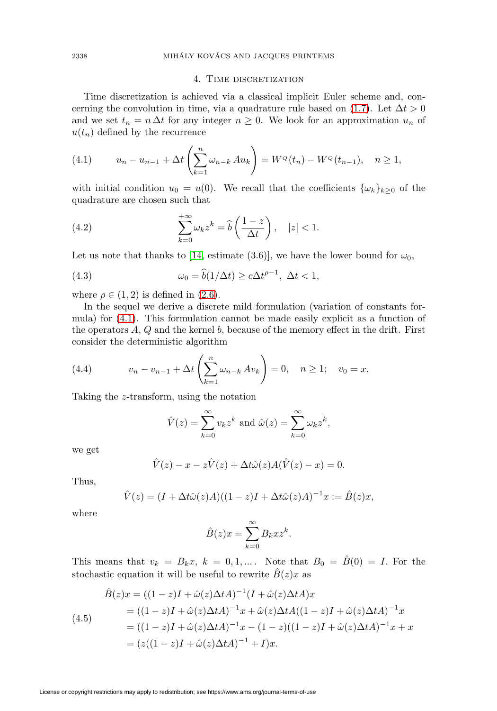## 4. TIME DISCRETIZATION

<span id="page-13-0"></span>Time discretization is achieved via a classical implicit Euler scheme and, con-cerning the convolution in time, via a quadrature rule based on [\(1.7\)](#page-2-0). Let  $\Delta t > 0$ and we set  $t_n = n \Delta t$  for any integer  $n \geq 0$ . We look for an approximation  $u_n$  of  $u(t_n)$  defined by the recurrence

<span id="page-13-2"></span>(4.1) 
$$
u_n - u_{n-1} + \Delta t \left( \sum_{k=1}^n \omega_{n-k} A u_k \right) = W^{\mathcal{Q}}(t_n) - W^{\mathcal{Q}}(t_{n-1}), \quad n \ge 1,
$$

with initial condition  $u_0 = u(0)$ . We recall that the coefficients  $\{\omega_k\}_{k>0}$  of the quadrature are chosen such that

<span id="page-13-4"></span>(4.2) 
$$
\sum_{k=0}^{+\infty} \omega_k z^k = \widehat{b}\left(\frac{1-z}{\Delta t}\right), \quad |z| < 1.
$$

Let us note that thanks to [\[14,](#page-20-11) estimate (3.6)], we have the lower bound for  $\omega_0$ ,

<span id="page-13-1"></span>(4.3) 
$$
\omega_0 = \widehat{b}(1/\Delta t) \ge c\Delta t^{\rho-1}, \ \Delta t < 1,
$$

where  $\rho \in (1, 2)$  is defined in  $(2.6)$ .

In the sequel we derive a discrete mild formulation (variation of constants formula) for [\(4.1\)](#page-13-2). This formulation cannot be made easily explicit as a function of the operators  $A, Q$  and the kernel  $b$ , because of the memory effect in the drift. First consider the deterministic algorithm

(4.4) 
$$
v_n - v_{n-1} + \Delta t \left( \sum_{k=1}^n \omega_{n-k} \, Av_k \right) = 0, \quad n \ge 1; \quad v_0 = x.
$$

Taking the z-transform, using the notation

$$
\hat{V}(z) = \sum_{k=0}^{\infty} v_k z^k \text{ and } \hat{\omega}(z) = \sum_{k=0}^{\infty} \omega_k z^k,
$$

we get

$$
\hat{V}(z) - x - z\hat{V}(z) + \Delta t \hat{\omega}(z)A(\hat{V}(z) - x) = 0.
$$

Thus,

$$
\hat{V}(z) = (I + \Delta t \hat{\omega}(z)A)((1 - z)I + \Delta t \hat{\omega}(z)A)^{-1}x := \hat{B}(z)x,
$$

where

$$
\hat{B}(z)x = \sum_{k=0}^{\infty} B_k x z^k.
$$

This means that  $v_k = B_k x$ ,  $k = 0, 1, \dots$ . Note that  $B_0 = \hat{B}(0) = I$ . For the stochastic equation it will be useful to rewrite  $B(z)x$  as

<span id="page-13-3"></span>
$$
\hat{B}(z)x = ((1 - z)I + \hat{\omega}(z)\Delta t A)^{-1}(I + \hat{\omega}(z)\Delta t A)x \n= ((1 - z)I + \hat{\omega}(z)\Delta t A)^{-1}x + \hat{\omega}(z)\Delta t A((1 - z)I + \hat{\omega}(z)\Delta t A)^{-1}x \n= ((1 - z)I + \hat{\omega}(z)\Delta t A)^{-1}x - (1 - z)((1 - z)I + \hat{\omega}(z)\Delta t A)^{-1}x + x \n= (z((1 - z)I + \hat{\omega}(z)\Delta t A)^{-1} + I)x.
$$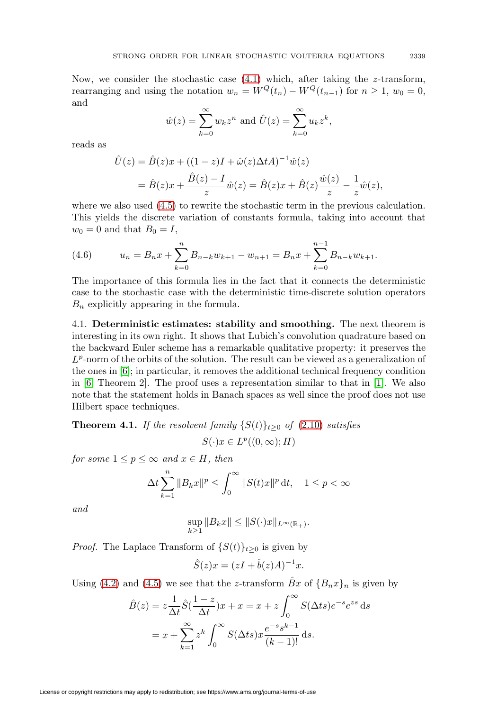Now, we consider the stochastic case  $(4.1)$  which, after taking the z-transform, rearranging and using the notation  $w_n = W^Q(t_n) - W^Q(t_{n-1})$  for  $n \ge 1$ ,  $w_0 = 0$ , and

$$
\hat{w}(z) = \sum_{k=0}^{\infty} w_k z^n
$$
 and 
$$
\hat{U}(z) = \sum_{k=0}^{\infty} u_k z^k
$$
,

reads as

$$
\hat{U}(z) = \hat{B}(z)x + ((1 - z)I + \hat{\omega}(z)\Delta t A)^{-1}\hat{w}(z) \n= \hat{B}(z)x + \frac{\hat{B}(z) - I}{z}\hat{w}(z) = \hat{B}(z)x + \hat{B}(z)\frac{\hat{w}(z)}{z} - \frac{1}{z}\hat{w}(z),
$$

where we also used [\(4.5\)](#page-13-3) to rewrite the stochastic term in the previous calculation. This yields the discrete variation of constants formula, taking into account that  $w_0 = 0$  and that  $B_0 = I$ ,

<span id="page-14-1"></span>(4.6) 
$$
u_n = B_n x + \sum_{k=0}^n B_{n-k} w_{k+1} - w_{n+1} = B_n x + \sum_{k=0}^{n-1} B_{n-k} w_{k+1}.
$$

The importance of this formula lies in the fact that it connects the deterministic case to the stochastic case with the deterministic time-discrete solution operators  $B_n$  explicitly appearing in the formula.

4.1. **Deterministic estimates: stability and smoothing.** The next theorem is interesting in its own right. It shows that Lubich's convolution quadrature based on the backward Euler scheme has a remarkable qualitative property: it preserves the  $L^p$ -norm of the orbits of the solution. The result can be viewed as a generalization of the ones in [\[6\]](#page-20-2); in particular, it removes the additional technical frequency condition in [\[6,](#page-20-2) Theorem 2]. The proof uses a representation similar to that in [\[1\]](#page-20-1). We also note that the statement holds in Banach spaces as well since the proof does not use Hilbert space techniques.

<span id="page-14-0"></span>**Theorem 4.1.** If the resolvent family  $\{S(t)\}_{t\geq0}$  of  $(2.10)$  satisfies

$$
S(\cdot)x \in L^p((0,\infty);H)
$$

for some  $1 \leq p \leq \infty$  and  $x \in H$ , then

$$
\Delta t \sum_{k=1}^{n} \|B_k x\|^p \le \int_0^\infty \|S(t)x\|^p \, \mathrm{d}t, \quad 1 \le p < \infty
$$

and

$$
\sup_{k\geq 1} \|B_k x\| \leq \|S(\cdot)x\|_{L^{\infty}(\mathbb{R}_+)}.
$$

*Proof.* The Laplace Transform of  $\{S(t)\}_{t>0}$  is given by

$$
\hat{S}(z)x = (zI + \hat{b}(z)A)^{-1}x.
$$

Using [\(4.2\)](#page-13-4) and [\(4.5\)](#page-13-3) we see that the z-transform  $\hat{B}x$  of  ${B_nx}_n$  is given by

$$
\hat{B}(z) = z \frac{1}{\Delta t} \hat{S}(\frac{1-z}{\Delta t})x + x = x + z \int_0^\infty S(\Delta ts) e^{-s} e^{zs} ds
$$

$$
= x + \sum_{k=1}^\infty z^k \int_0^\infty S(\Delta ts) x \frac{e^{-s} s^{k-1}}{(k-1)!} ds.
$$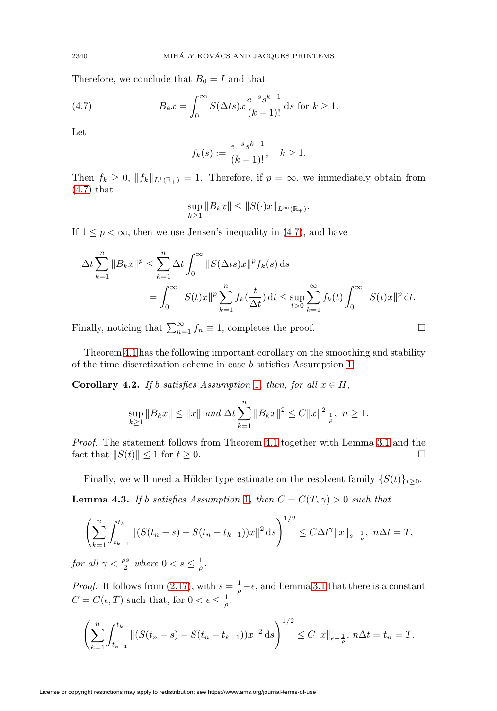Therefore, we conclude that  $B_0 = I$  and that

<span id="page-15-1"></span>(4.7) 
$$
B_k x = \int_0^\infty S(\Delta t s) x \frac{e^{-s} s^{k-1}}{(k-1)!} ds \text{ for } k \ge 1.
$$

Let

$$
f_k(s) := \frac{e^{-s} s^{k-1}}{(k-1)!}, \quad k \ge 1.
$$

Then  $f_k \geq 0$ ,  $||f_k||_{L^1(\mathbb{R}_+)} = 1$ . Therefore, if  $p = \infty$ , we immediately obtain from [\(4.7\)](#page-15-1) that

$$
\sup_{k\geq 1} \|B_k x\| \leq \|S(\cdot) x\|_{L^\infty(\mathbb{R}_+)}.
$$

If  $1 \leq p < \infty$ , then we use Jensen's inequality in [\(4.7\)](#page-15-1), and have

$$
\Delta t \sum_{k=1}^{n} \|B_k x\|^p \le \sum_{k=1}^{n} \Delta t \int_0^{\infty} \|S(\Delta t s) x\|^p f_k(s) ds
$$
  
= 
$$
\int_0^{\infty} \|S(t) x\|^p \sum_{k=1}^{n} f_k(\frac{t}{\Delta t}) dt \le \sup_{t>0} \sum_{k=1}^{\infty} f_k(t) \int_0^{\infty} \|S(t) x\|^p dt.
$$

 $\Box$ 

Finally, noticing that  $\sum_{n=1}^{\infty} f_n \equiv 1$ , completes the proof.  $\Box$ 

Theorem [4.1](#page-14-0) has the following important corollary on the smoothing and stability of the time discretization scheme in case b satisfies Assumption [1.](#page-5-2)

<span id="page-15-0"></span>**Corollary 4.2.** If b satisfies Assumption [1](#page-5-2), then, for all  $x \in H$ ,

$$
\sup_{k\geq 1} \|B_k x\| \leq \|x\| \text{ and } \Delta t \sum_{k=1}^n \|B_k x\|^2 \leq C \|x\|_{-\frac{1}{\rho}}^2, \ n \geq 1.
$$

Proof. The statement follows from Theorem [4.1](#page-14-0) together with Lemma [3.1](#page-9-2) and the fact that  $||S(t)|| \leq 1$  for  $t \geq 0$ .  $\Box$ 

Finally, we will need a Hölder type estimate on the resolvent family  $\{S(t)\}_{t>0}$ .

<span id="page-15-2"></span>**Lemma 4.3.** If b satisfies Assumption [1](#page-5-2), then  $C = C(T, \gamma) > 0$  such that

$$
\left(\sum_{k=1}^n \int_{t_{k-1}}^{t_k} \|(S(t_n-s)-S(t_n-t_{k-1}))x\|^2 ds\right)^{1/2} \leq C\Delta t^{\gamma} \|x\|_{s-\frac{1}{\rho}}, \ n\Delta t = T,
$$

for all  $\gamma < \frac{\rho s}{2}$  where  $0 < s \leq \frac{1}{\rho}$ .

*Proof.* It follows from [\(2.17\)](#page-6-3), with  $s = \frac{1}{\rho} - \epsilon$ , and Lemma [3.1](#page-9-2) that there is a constant  $C = C(\epsilon, T)$  such that, for  $0 < \epsilon \leq \frac{1}{\rho}$ ,

$$
\left(\sum_{k=1}^n \int_{t_{k-1}}^{t_k} \|(S(t_n-s)-S(t_n-t_{k-1}))x\|^2 ds\right)^{1/2} \leq C\|x\|_{\epsilon-\frac{1}{\rho}}, n\Delta t = t_n = T.
$$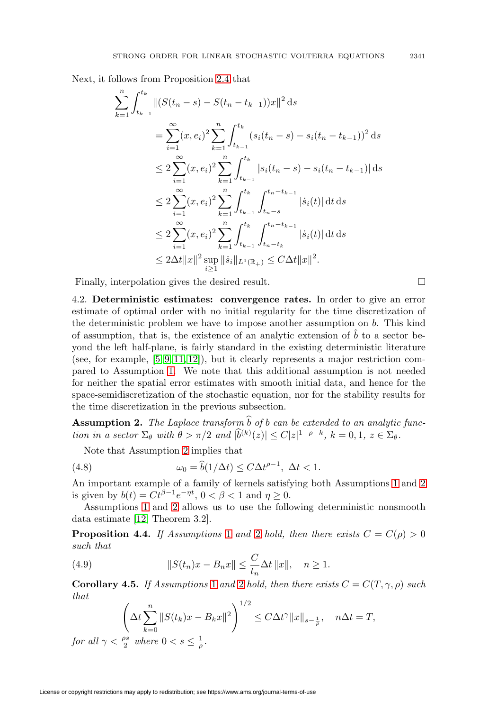Next, it follows from Proposition [2.4](#page-6-1) that

$$
\sum_{k=1}^{n} \int_{t_{k-1}}^{t_k} ||(S(t_n - s) - S(t_n - t_{k-1}))x||^2 ds
$$
\n
$$
= \sum_{i=1}^{\infty} (x, e_i)^2 \sum_{k=1}^{n} \int_{t_{k-1}}^{t_k} (s_i(t_n - s) - s_i(t_n - t_{k-1}))^2 ds
$$
\n
$$
\leq 2 \sum_{i=1}^{\infty} (x, e_i)^2 \sum_{k=1}^{n} \int_{t_{k-1}}^{t_k} |s_i(t_n - s) - s_i(t_n - t_{k-1})| ds
$$
\n
$$
\leq 2 \sum_{i=1}^{\infty} (x, e_i)^2 \sum_{k=1}^{n} \int_{t_{k-1}}^{t_k} \int_{t_n - s}^{t_n - t_{k-1}} |\dot{s}_i(t)| dt ds
$$
\n
$$
\leq 2 \sum_{i=1}^{\infty} (x, e_i)^2 \sum_{k=1}^{n} \int_{t_{k-1}}^{t_k} \int_{t_n - t_k}^{t_n - t_{k-1}} |\dot{s}_i(t)| dt ds
$$
\n
$$
\leq 2\Delta t ||x||^2 \sup_{i \geq 1} ||\dot{s}_i||_{L^1(\mathbb{R}_+)} \leq C\Delta t ||x||^2.
$$

<span id="page-16-0"></span>Finally, interpolation gives the desired result.  $\Box$ 

4.2. **Deterministic estimates: convergence rates.** In order to give an error estimate of optimal order with no initial regularity for the time discretization of the deterministic problem we have to impose another assumption on  $b$ . This kind of assumption, that is, the existence of an analytic extension of  $\hat{b}$  to a sector beyond the left half-plane, is fairly standard in the existing deterministic literature (see, for example,  $[5, 9, 11, 12]$  $[5, 9, 11, 12]$  $[5, 9, 11, 12]$  $[5, 9, 11, 12]$ ), but it clearly represents a major restriction compared to Assumption [1.](#page-5-2) We note that this additional assumption is not needed for neither the spatial error estimates with smooth initial data, and hence for the space-semidiscretization of the stochastic equation, nor for the stability results for the time discretization in the previous subsection.

<span id="page-16-1"></span>**Assumption 2.** The Laplace transform  $\widehat{b}$  of b can be extended to an analytic function in a sector  $\Sigma_{\theta}$  with  $\theta > \pi/2$  and  $|\widetilde{b}^{(k)}(z)| \leq C |z|^{1-\rho-k}, k = 0, 1, z \in \Sigma_{\theta}$ .

Note that Assumption [2](#page-16-1) implies that

<span id="page-16-2"></span>(4.8) 
$$
\omega_0 = \widehat{b}(1/\Delta t) \le C \Delta t^{\rho - 1}, \ \Delta t < 1.
$$

An important example of a family of kernels satisfying both Assumptions [1](#page-5-2) and [2](#page-16-1) is given by  $b(t) = Ct^{\beta-1}e^{-\eta t}$ ,  $0 < \beta < 1$  and  $\eta \ge 0$ .

Assumptions [1](#page-5-2) and [2](#page-16-1) allows us to use the following deterministic nonsmooth data estimate [\[12,](#page-20-3) Theorem 3.2].

**Proposition 4.4.** If Assumptions [1](#page-5-2) and [2](#page-16-1) hold, then there exists  $C = C(\rho) > 0$ such that

<span id="page-16-3"></span>(4.9) 
$$
||S(t_n)x - B_nx|| \leq \frac{C}{t_n} \Delta t ||x||, \quad n \geq 1.
$$

<span id="page-16-4"></span>**Corollary 4.5.** If Assumptions [1](#page-5-2) and [2](#page-16-1) hold, then there exists  $C = C(T, \gamma, \rho)$  such that

$$
\left(\Delta t \sum_{k=0}^{n} \|S(t_k)x - B_kx\|^2\right)^{1/2} \le C\Delta t^{\gamma} \|x\|_{s-\frac{1}{\rho}}, \quad n\Delta t = T,
$$
  
for all  $\gamma < \frac{\rho s}{2}$  where  $0 < s \le \frac{1}{\rho}$ .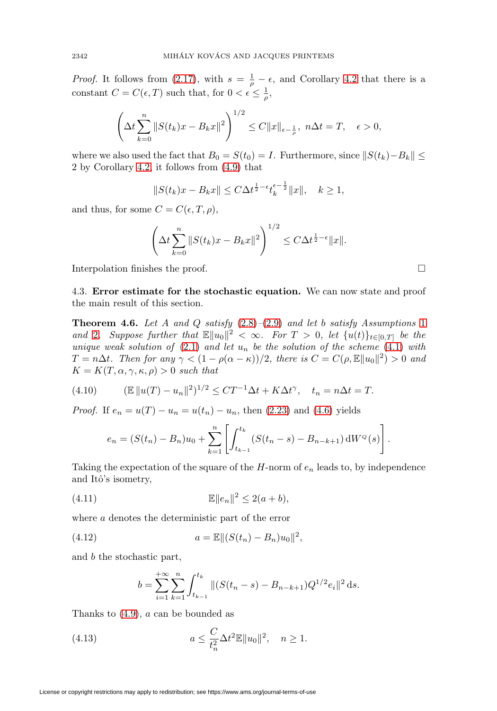*Proof.* It follows from [\(2.17\)](#page-6-3), with  $s = \frac{1}{\rho} - \epsilon$ , and Corollary [4.2](#page-15-0) that there is a constant  $C = C(\epsilon, T)$  such that, for  $0 < \epsilon \leq \frac{1}{\rho}$ ,

$$
\left(\Delta t \sum_{k=0}^{n} \|S(t_k)x - B_kx\|^2\right)^{1/2} \le C\|x\|_{\epsilon - \frac{1}{\rho}}, \ n\Delta t = T, \quad \epsilon > 0,
$$

where we also used the fact that  $B_0 = S(t_0) = I$ . Furthermore, since  $||S(t_k)-B_k|| \le$ 2 by Corollary [4.2,](#page-15-0) it follows from [\(4.9\)](#page-16-3) that

$$
||S(t_k)x - B_kx|| \le C\Delta t^{\frac{1}{2} - \epsilon}t_k^{\epsilon - \frac{1}{2}}||x||, \quad k \ge 1,
$$

and thus, for some  $C = C(\epsilon, T, \rho)$ ,

$$
\left(\Delta t \sum_{k=0}^{n} \|S(t_k)x - B_kx\|^2\right)^{1/2} \le C\Delta t^{\frac{1}{2}-\epsilon} \|x\|.
$$

Interpolation finishes the proof.  $\Box$ 

4.3. **Error estimate for the stochastic equation.** We can now state and proof the main result of this section.

<span id="page-17-0"></span>**Theorem 4.6.** Let A and Q satisfy  $(2.8)$ – $(2.9)$  and let b satisfy Assumptions [1](#page-5-2) and [2](#page-16-1). Suppose further that  $\mathbb{E}||u_0||^2 < \infty$ . For  $T > 0$ , let  $\{u(t)\}_{t\in[0,T]}$  be the unique weak solution of  $(2.1)$  and let  $u_n$  be the solution of the scheme  $(4.1)$  with  $T = n\Delta t$ . Then for any  $\gamma < (1 - \rho(\alpha - \kappa))/2$ , there is  $C = C(\rho, \mathbb{E}||u_0||^2) > 0$  and  $K = K(T, \alpha, \gamma, \kappa, \rho) > 0$  such that

(4.10) 
$$
(\mathbb{E}||u(T) - u_n||^2)^{1/2} \leq CT^{-1}\Delta t + K\Delta t^{\gamma}, \quad t_n = n\Delta t = T.
$$

*Proof.* If  $e_n = u(T) - u_n = u(t_n) - u_n$ , then [\(2.23\)](#page-7-2) and [\(4.6\)](#page-14-1) yields

$$
e_n = (S(t_n) - B_n)u_0 + \sum_{k=1}^n \left[ \int_{t_{k-1}}^{t_k} (S(t_n - s) - B_{n-k+1}) dW^{\mathcal{Q}}(s) \right].
$$

Taking the expectation of the square of the  $H$ -norm of  $e_n$  leads to, by independence and Itô's isometry,

$$
\mathbb{E}\|e_n\|^2 \le 2(a+b),
$$

where a denotes the deterministic part of the error

(4.12) 
$$
a = \mathbb{E}||(S(t_n) - B_n)u_0||^2,
$$

and b the stochastic part,

$$
b = \sum_{i=1}^{+\infty} \sum_{k=1}^{n} \int_{t_{k-1}}^{t_k} ||(S(t_n - s) - B_{n-k+1})Q^{1/2}e_i||^2 ds.
$$

Thanks to  $(4.9)$ , a can be bounded as

(4.13) 
$$
a \leq \frac{C}{t_n^2} \Delta t^2 \mathbb{E} \|u_0\|^2, \quad n \geq 1.
$$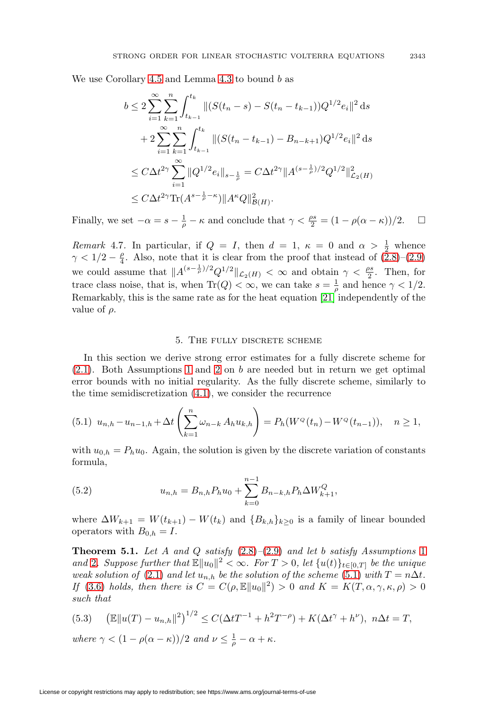We use Corollary [4.5](#page-16-4) and Lemma [4.3](#page-15-2) to bound  $b$  as

$$
b \le 2 \sum_{i=1}^{\infty} \sum_{k=1}^{n} \int_{t_{k-1}}^{t_k} ||(S(t_n - s) - S(t_n - t_{k-1}))Q^{1/2}e_i||^2 ds
$$
  
+ 
$$
2 \sum_{i=1}^{\infty} \sum_{k=1}^{n} \int_{t_{k-1}}^{t_k} ||(S(t_n - t_{k-1}) - B_{n-k+1})Q^{1/2}e_i||^2 ds
$$
  

$$
\le C\Delta t^{2\gamma} \sum_{i=1}^{\infty} ||Q^{1/2}e_i||_{s-\frac{1}{\rho}} = C\Delta t^{2\gamma} ||A^{(s-\frac{1}{\rho})/2}Q^{1/2}||^2_{\mathcal{L}_2(H)}
$$
  

$$
\le C\Delta t^{2\gamma} \text{Tr}(A^{s-\frac{1}{\rho}-\kappa}) ||A^{\kappa}Q||^2_{\mathcal{B}(H)}.
$$

Finally, we set  $-\alpha = s - \frac{1}{\rho} - \kappa$  and conclude that  $\gamma < \frac{\rho s}{2} = (1 - \rho(\alpha - \kappa))/2$ .  $\Box$  $\Box$ 

<span id="page-18-1"></span>Remark 4.7. In particular, if  $Q = I$ , then  $d = 1$ ,  $\kappa = 0$  and  $\alpha > \frac{1}{2}$  whence  $\gamma < 1/2 - \frac{\rho}{4}$ . Also, note that it is clear from the proof that instead of  $(2.8)$ – $(2.9)$ we could assume that  $||A^{(s-\frac{1}{\rho})/2}Q^{1/2}||_{\mathcal{L}_2(H)} < \infty$  and obtain  $\gamma < \frac{\rho s}{2}$ . Then, for trace class noise, that is, when  $\text{Tr}(Q) < \infty$ , we can take  $s = \frac{1}{\rho}$  and hence  $\gamma < 1/2$ . Remarkably, this is the same rate as for the heat equation [\[21\]](#page-21-1) independently of the value of  $\rho$ .

#### 5. The fully discrete scheme

In this section we derive strong error estimates for a fully discrete scheme for [\(2.1\)](#page-3-1). Both Assumptions [1](#page-5-2) and [2](#page-16-1) on b are needed but in return we get optimal error bounds with no initial regularity. As the fully discrete scheme, similarly to the time semidiscretization [\(4.1\)](#page-13-2), we consider the recurrence

<span id="page-18-2"></span>
$$
(5.1) \ u_{n,h} - u_{n-1,h} + \Delta t \left( \sum_{k=1}^n \omega_{n-k} A_h u_{k,h} \right) = P_h(W^{\mathcal{Q}}(t_n) - W^{\mathcal{Q}}(t_{n-1})), \quad n \ge 1,
$$

with  $u_{0,h} = P_h u_0$ . Again, the solution is given by the discrete variation of constants formula,

(5.2) 
$$
u_{n,h} = B_{n,h} P_h u_0 + \sum_{k=0}^{n-1} B_{n-k,h} P_h \Delta W_{k+1}^Q,
$$

where  $\Delta W_{k+1} = W(t_{k+1}) - W(t_k)$  and  $\{B_{k,h}\}_{k\geq 0}$  is a family of linear bounded operators with  $B_{0,h} = I$ .

<span id="page-18-0"></span>**Theorem 5.[1](#page-5-2).** Let A and Q satisfy  $(2.8)$ – $(2.9)$  and let b satisfy Assumptions 1 and [2](#page-16-1). Suppose further that  $\mathbb{E}||u_0||^2 < \infty$ . For  $T > 0$ , let  $\{u(t)\}_{t \in [0,T]}$  be the unique weak solution of [\(2.1\)](#page-3-1) and let  $u_{n,h}$  be the solution of the scheme [\(5.1\)](#page-18-2) with  $T = n\Delta t$ . If [\(3.6\)](#page-10-0) holds, then there is  $C = C(\rho, \mathbb{E}||u_0|^2) > 0$  and  $K = K(T, \alpha, \gamma, \kappa, \rho) > 0$ such that

<span id="page-18-3"></span>(5.3) 
$$
\left(\mathbb{E}\|u(T) - u_{n,h}\|^2\right)^{1/2} \le C(\Delta t T^{-1} + h^2 T^{-\rho}) + K(\Delta t^{\gamma} + h^{\nu}), \ n\Delta t = T,
$$

where  $\gamma < (1 - \rho(\alpha - \kappa))/2$  and  $\nu \leq \frac{1}{\rho} - \alpha + \kappa$ .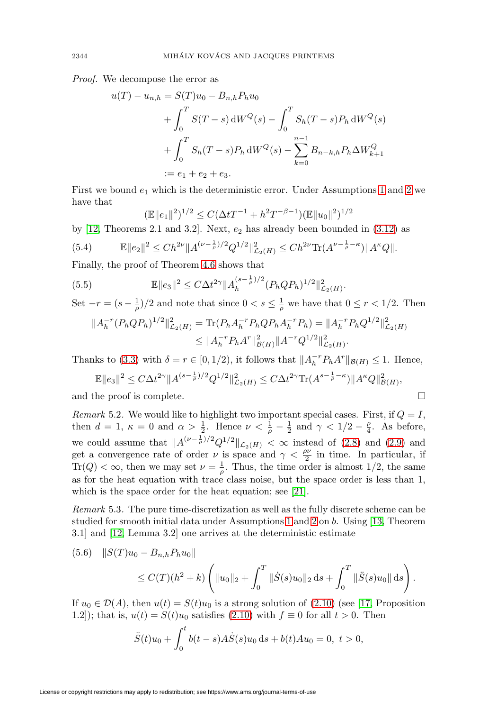Proof. We decompose the error as

$$
u(T) - u_{n,h} = S(T)u_0 - B_{n,h}P_hu_0
$$
  
+  $\int_0^T S(T - s) dW^Q(s) - \int_0^T S_h(T - s)P_h dW^Q(s)$   
+  $\int_0^T S_h(T - s)P_h dW^Q(s) - \sum_{k=0}^{n-1} B_{n-k,h}P_h \Delta W^Q_{k+1}$   
:=  $e_1 + e_2 + e_3$ .

First we bound  $e_1$  which is the deterministic error. Under Assumptions [1](#page-5-2) and [2](#page-16-1) we have that

$$
(\mathbb{E}||e_1||^2)^{1/2} \le C(\Delta t T^{-1} + h^2 T^{-\beta - 1})(\mathbb{E}||u_0||^2)^{1/2}
$$

by [\[12,](#page-20-3) Theorems 2.1 and 3.2]. Next,  $e_2$  has already been bounded in [\(3.12\)](#page-12-1) as

$$
(5.4) \t\t\t\mathbb{E}\|e_2\|^2 \leq Ch^{2\nu} \|A^{(\nu - \frac{1}{\rho})/2} Q^{1/2}\|_{\mathcal{L}_2(H)}^2 \leq Ch^{2\nu} \text{Tr}(A^{\nu - \frac{1}{\rho} - \kappa}) \|A^{\kappa} Q\|.
$$

Finally, the proof of Theorem [4.6](#page-17-0) shows that

(5.5) 
$$
\mathbb{E} \|e_3\|^2 \leq C \Delta t^{2\gamma} \|A_h^{(s-\frac{1}{\rho})/2} (P_h Q P_h)^{1/2}\|_{\mathcal{L}_2(H)}^2.
$$

Set 
$$
-r = (s - \frac{1}{\rho})/2
$$
 and note that since  $0 < s \leq \frac{1}{\rho}$  we have that  $0 \leq r < 1/2$ . Then

$$
||A_h^{-r}(P_hQP_h)^{1/2}||_{\mathcal{L}_2(H)}^2 = \text{Tr}(P_hA_h^{-r}P_hQP_hA_h^{-r}P_h) = ||A_h^{-r}P_hQ^{1/2}||_{\mathcal{L}_2(H)}^2
$$
  

$$
\leq ||A_h^{-r}P_hA^r||_{\mathcal{B}(H)}^2 ||A^{-r}Q^{1/2}||_{\mathcal{L}_2(H)}^2.
$$

Thanks to [\(3.3\)](#page-9-1) with  $\delta = r \in [0, 1/2)$ , it follows that  $||A_h^{-r}P_hA^r||_{\mathcal{B}(H)} \leq 1$ . Hence,

$$
\mathbb{E}\|e_3\|^2 \le C\Delta t^{2\gamma} \|A^{(s-\frac{1}{\rho})/2} Q^{1/2}\|_{\mathcal{L}_2(H)}^2 \le C\Delta t^{2\gamma} \text{Tr}(A^{s-\frac{1}{\rho}-\kappa}) \|A^{\kappa} Q\|_{\mathcal{B}(H)}^2,
$$
  
and the proof is complete.

<span id="page-19-0"></span>Remark 5.2. We would like to highlight two important special cases. First, if  $Q = I$ , then  $d = 1$ ,  $\kappa = 0$  and  $\alpha > \frac{1}{2}$ . Hence  $\nu < \frac{1}{\rho} - \frac{1}{2}$  and  $\gamma < 1/2 - \frac{\rho}{4}$ . As before, we could assume that  $||A^{(\nu-\frac{1}{\rho})/2}Q^{1/2}||_{\mathcal{L}_2(H)} < \infty$  instead of [\(2.8\)](#page-5-0) and [\(2.9\)](#page-5-1) and get a convergence rate of order  $\nu$  is space and  $\gamma < \frac{\rho \nu}{2}$  in time. In particular, if  $\text{Tr}(Q) < \infty$ , then we may set  $\nu = \frac{1}{\rho}$ . Thus, the time order is almost 1/2, the same as for the heat equation with trace class noise, but the space order is less than 1, which is the space order for the heat equation; see [\[21\]](#page-21-1).

Remark 5.3. The pure time-discretization as well as the fully discrete scheme can be studied for smooth initial data under Assumptions [1](#page-5-2) and [2](#page-16-1) on b. Using [\[13,](#page-20-0) Theorem 3.1] and [\[12,](#page-20-3) Lemma 3.2] one arrives at the deterministic estimate

<span id="page-19-1"></span>
$$
(5.6) \quad ||S(T)u_0 - B_{n,h}P_hu_0||
$$
  
 
$$
\leq C(T)(h^2 + k) \left( ||u_0||_2 + \int_0^T ||\dot{S}(s)u_0||_2 ds + \int_0^T ||\ddot{S}(s)u_0|| ds \right).
$$

If  $u_0 \in \mathcal{D}(A)$ , then  $u(t) = S(t)u_0$  is a strong solution of [\(2.10\)](#page-5-4) (see [\[17,](#page-21-2) Proposition 1.2]); that is,  $u(t) = S(t)u_0$  satisfies [\(2.10\)](#page-5-4) with  $f \equiv 0$  for all  $t > 0$ . Then

$$
\ddot{S}(t)u_0 + \int_0^t b(t-s)A\dot{S}(s)u_0 ds + b(t)Au_0 = 0, \ t > 0,
$$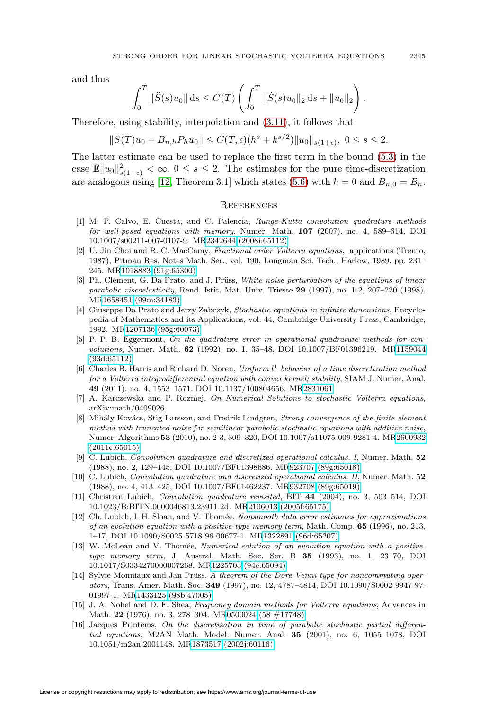and thus

$$
\int_0^T \|\ddot{S}(s)u_0\| ds \le C(T) \left( \int_0^T \|\dot{S}(s)u_0\|_2 ds + \|u_0\|_2 \right).
$$

Therefore, using stability, interpolation and [\(3.11\)](#page-11-3), it follows that

$$
||S(T)u_0 - B_{n,h}P_h u_0|| \leq C(T,\epsilon)(h^s + k^{s/2})||u_0||_{s(1+\epsilon)}, \ 0 \leq s \leq 2.
$$

The latter estimate can be used to replace the first term in the bound [\(5.3\)](#page-18-3) in the case  $\mathbb{E} \|u_0\|_{s(1+\epsilon)}^2 < \infty$ ,  $0 \le s \le 2$ . The estimates for the pure time-discretization are analogous using [\[12,](#page-20-3) Theorem 3.1] which states [\(5.6\)](#page-19-1) with  $h = 0$  and  $B_{n,0} = B_n$ .

#### **REFERENCES**

- <span id="page-20-1"></span>[1] M. P. Calvo, E. Cuesta, and C. Palencia, Runge-Kutta convolution quadrature methods for well-posed equations with memory, Numer. Math. **107** (2007), no. 4, 589–614, DOI 10.1007/s00211-007-0107-9. M[R2342644 \(2008i:65112\)](http://www.ams.org/mathscinet-getitem?mr=2342644)
- <span id="page-20-13"></span>[2] U. Jin Choi and R. C. MacCamy, Fractional order Volterra equations, applications (Trento, 1987), Pitman Res. Notes Math. Ser., vol. 190, Longman Sci. Tech., Harlow, 1989, pp. 231– 245. M[R1018883 \(91g:65300\)](http://www.ams.org/mathscinet-getitem?mr=1018883)
- <span id="page-20-10"></span>[3] Ph. Clément, G. Da Prato, and J. Prüss, White noise perturbation of the equations of linear parabolic viscoelasticity, Rend. Istit. Mat. Univ. Trieste **29** (1997), no. 1-2, 207–220 (1998). M[R1658451 \(99m:34183\)](http://www.ams.org/mathscinet-getitem?mr=1658451)
- <span id="page-20-12"></span>[4] Giuseppe Da Prato and Jerzy Zabczyk, Stochastic equations in infinite dimensions, Encyclopedia of Mathematics and its Applications, vol. 44, Cambridge University Press, Cambridge, 1992. M[R1207136 \(95g:60073\)](http://www.ams.org/mathscinet-getitem?mr=1207136)
- <span id="page-20-14"></span>[5] P. P. B. Eggermont, On the quadrature error in operational quadrature methods for convolutions, Numer. Math. **62** (1992), no. 1, 35–48, DOI 10.1007/BF01396219. M[R1159044](http://www.ams.org/mathscinet-getitem?mr=1159044) [\(93d:65112\)](http://www.ams.org/mathscinet-getitem?mr=1159044)
- <span id="page-20-2"></span>[6] Charles B. Harris and Richard D. Noren, Uniform  $l^1$  behavior of a time discretization method for a Volterra integrodifferential equation with convex kernel; stability, SIAM J. Numer. Anal. **49** (2011), no. 4, 1553–1571, DOI 10.1137/100804656. M[R2831061](http://www.ams.org/mathscinet-getitem?mr=2831061)
- <span id="page-20-4"></span>[7] A. Karczewska and P. Rozmej, On Numerical Solutions to stochastic Volterra equations, arXiv:math/0409026.
- <span id="page-20-7"></span>[8] Mihály Kovács, Stig Larsson, and Fredrik Lindgren, Strong convergence of the finite element method with truncated noise for semilinear parabolic stochastic equations with additive noise, Numer. Algorithms **53** (2010), no. 2-3, 309–320, DOI 10.1007/s11075-009-9281-4. M[R2600932](http://www.ams.org/mathscinet-getitem?mr=2600932) [\(2011c:65015\)](http://www.ams.org/mathscinet-getitem?mr=2600932)
- <span id="page-20-5"></span>[9] C. Lubich, Convolution quadrature and discretized operational calculus. I, Numer. Math. **52** (1988), no. 2, 129–145, DOI 10.1007/BF01398686. M[R923707 \(89g:65018\)](http://www.ams.org/mathscinet-getitem?mr=923707)
- <span id="page-20-6"></span>[10] C. Lubich, Convolution quadrature and discretized operational calculus. II, Numer. Math. **52** (1988), no. 4, 413–425, DOI 10.1007/BF01462237. M[R932708 \(89g:65019\)](http://www.ams.org/mathscinet-getitem?mr=932708)
- <span id="page-20-15"></span>[11] Christian Lubich, Convolution quadrature revisited, BIT **44** (2004), no. 3, 503–514, DOI 10.1023/B:BITN.0000046813.23911.2d. M[R2106013 \(2005f:65175\)](http://www.ams.org/mathscinet-getitem?mr=2106013)
- <span id="page-20-3"></span>[12] Ch. Lubich, I. H. Sloan, and V. Thomée, Nonsmooth data error estimates for approximations of an evolution equation with a positive-type memory term, Math. Comp. **65** (1996), no. 213, 1–17, DOI 10.1090/S0025-5718-96-00677-1. M[R1322891 \(96d:65207\)](http://www.ams.org/mathscinet-getitem?mr=1322891)
- <span id="page-20-0"></span>[13] W. McLean and V. Thomée, Numerical solution of an evolution equation with a positivetype memory term, J. Austral. Math. Soc. Ser. B **35** (1993), no. 1, 23–70, DOI 10.1017/S0334270000007268. M[R1225703 \(94e:65094\)](http://www.ams.org/mathscinet-getitem?mr=1225703)
- <span id="page-20-11"></span>[14] Sylvie Monniaux and Jan Prüss, A theorem of the Dore-Venni type for noncommuting operators, Trans. Amer. Math. Soc. **349** (1997), no. 12, 4787–4814, DOI 10.1090/S0002-9947-97- 01997-1. M[R1433125 \(98b:47005\)](http://www.ams.org/mathscinet-getitem?mr=1433125)
- <span id="page-20-9"></span>[15] J. A. Nohel and D. F. Shea, Frequency domain methods for Volterra equations, Advances in Math. **22** (1976), no. 3, 278–304. M[R0500024 \(58 #17748\)](http://www.ams.org/mathscinet-getitem?mr=0500024)
- <span id="page-20-8"></span>[16] Jacques Printems, On the discretization in time of parabolic stochastic partial differential equations, M2AN Math. Model. Numer. Anal. **35** (2001), no. 6, 1055–1078, DOI 10.1051/m2an:2001148. M[R1873517 \(2002j:60116\)](http://www.ams.org/mathscinet-getitem?mr=1873517)

License or copyright restrictions may apply to redistribution; see https://www.ams.org/journal-terms-of-use